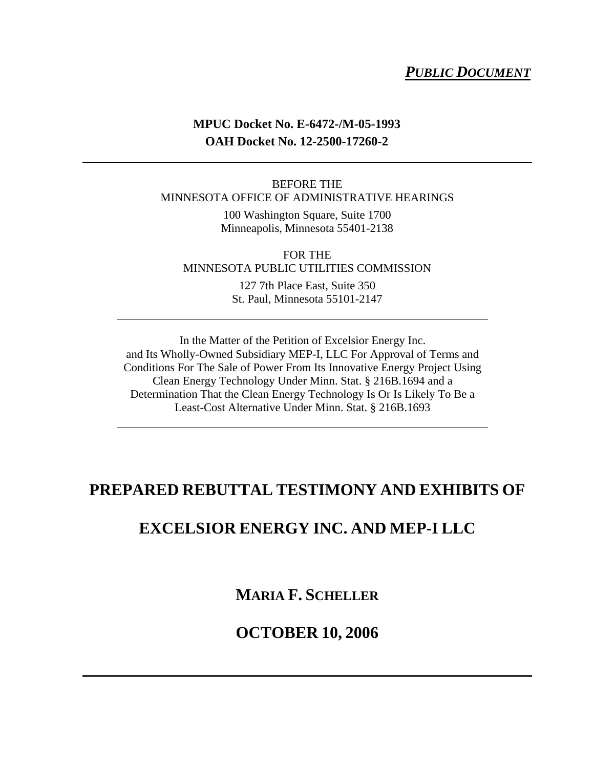## *PUBLIC DOCUMENT*

## **MPUC Docket No. E-6472-/M-05-1993 OAH Docket No. 12-2500-17260-2**

#### BEFORE THE MINNESOTA OFFICE OF ADMINISTRATIVE HEARINGS

100 Washington Square, Suite 1700 Minneapolis, Minnesota 55401-2138

FOR THE MINNESOTA PUBLIC UTILITIES COMMISSION

> 127 7th Place East, Suite 350 St. Paul, Minnesota 55101-2147

In the Matter of the Petition of Excelsior Energy Inc. and Its Wholly-Owned Subsidiary MEP-I, LLC For Approval of Terms and Conditions For The Sale of Power From Its Innovative Energy Project Using Clean Energy Technology Under Minn. Stat. § 216B.1694 and a Determination That the Clean Energy Technology Is Or Is Likely To Be a Least-Cost Alternative Under Minn. Stat. § 216B.1693

# **PREPARED REBUTTAL TESTIMONY AND EXHIBITS OF**

# **EXCELSIOR ENERGY INC. AND MEP-I LLC**

**MARIA F. SCHELLER**

# **OCTOBER 10, 2006**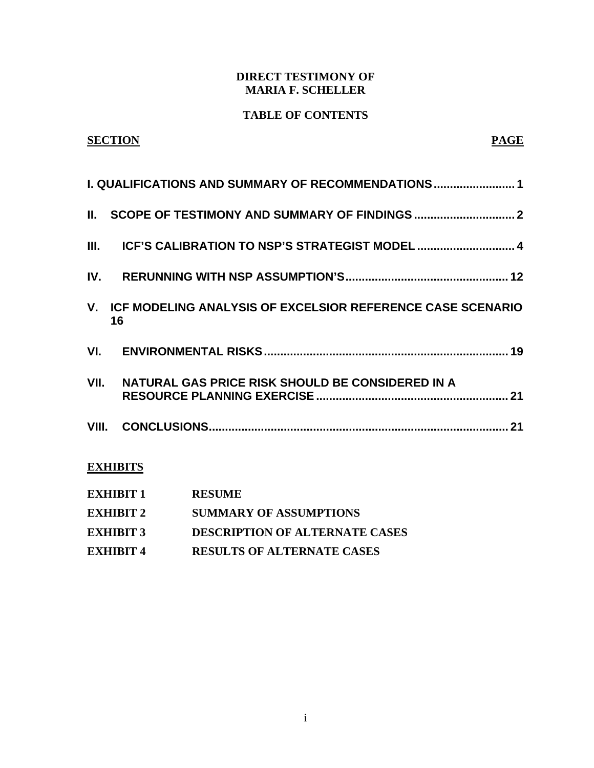### **DIRECT TESTIMONY OF MARIA F. SCHELLER**

### **TABLE OF CONTENTS**

## **SECTION PAGE**

| I. QUALIFICATIONS AND SUMMARY OF RECOMMENDATIONS 1                  |
|---------------------------------------------------------------------|
|                                                                     |
| III. ICF'S CALIBRATION TO NSP'S STRATEGIST MODEL  4                 |
|                                                                     |
| V. ICF MODELING ANALYSIS OF EXCELSIOR REFERENCE CASE SCENARIO<br>16 |
|                                                                     |
| VII. NATURAL GAS PRICE RISK SHOULD BE CONSIDERED IN A               |
|                                                                     |
| <b>EXHIBITS</b>                                                     |
| <b>EXHIBIT 1 RESUME</b>                                             |

| <b>EXHIBIT 2</b> | <b>SUMMARY OF ASSUMPTIONS</b> |
|------------------|-------------------------------|

- **EXHIBIT 3 DESCRIPTION OF ALTERNATE CASES**
- **EXHIBIT 4 RESULTS OF ALTERNATE CASES**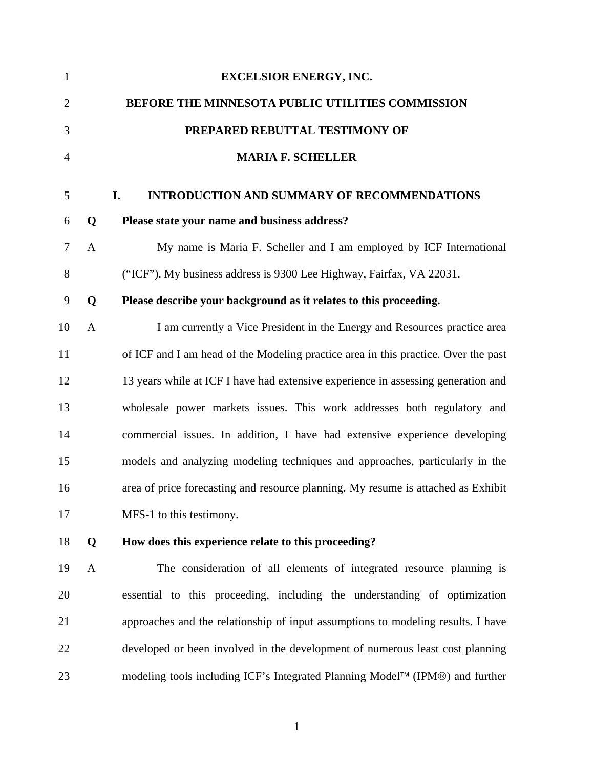| $\mathbf{1}$   |              | <b>EXCELSIOR ENERGY, INC.</b>                                                      |
|----------------|--------------|------------------------------------------------------------------------------------|
| $\overline{2}$ |              | BEFORE THE MINNESOTA PUBLIC UTILITIES COMMISSION                                   |
| 3              |              | PREPARED REBUTTAL TESTIMONY OF                                                     |
| $\overline{4}$ |              | <b>MARIA F. SCHELLER</b>                                                           |
| 5              |              | <b>INTRODUCTION AND SUMMARY OF RECOMMENDATIONS</b><br>I.                           |
| 6              | Q            | Please state your name and business address?                                       |
| $\tau$         | $\mathbf{A}$ | My name is Maria F. Scheller and I am employed by ICF International                |
| 8              |              | ("ICF"). My business address is 9300 Lee Highway, Fairfax, VA 22031.               |
| 9              | Q            | Please describe your background as it relates to this proceeding.                  |
| 10             | $\mathbf{A}$ | I am currently a Vice President in the Energy and Resources practice area          |
| 11             |              | of ICF and I am head of the Modeling practice area in this practice. Over the past |
| 12             |              | 13 years while at ICF I have had extensive experience in assessing generation and  |
| 13             |              | wholesale power markets issues. This work addresses both regulatory and            |
| 14             |              | commercial issues. In addition, I have had extensive experience developing         |
| 15             |              | models and analyzing modeling techniques and approaches, particularly in the       |
| 16             |              | area of price forecasting and resource planning. My resume is attached as Exhibit  |
| 17             |              | MFS-1 to this testimony.                                                           |
| 18             | Q            | How does this experience relate to this proceeding?                                |
| 19             | $\mathbf{A}$ | The consideration of all elements of integrated resource planning is               |
| 20             |              | essential to this proceeding, including the understanding of optimization          |
| 21             |              | approaches and the relationship of input assumptions to modeling results. I have   |
| 22             |              | developed or been involved in the development of numerous least cost planning      |
| 23             |              | modeling tools including ICF's Integrated Planning Model™ (IPM®) and further       |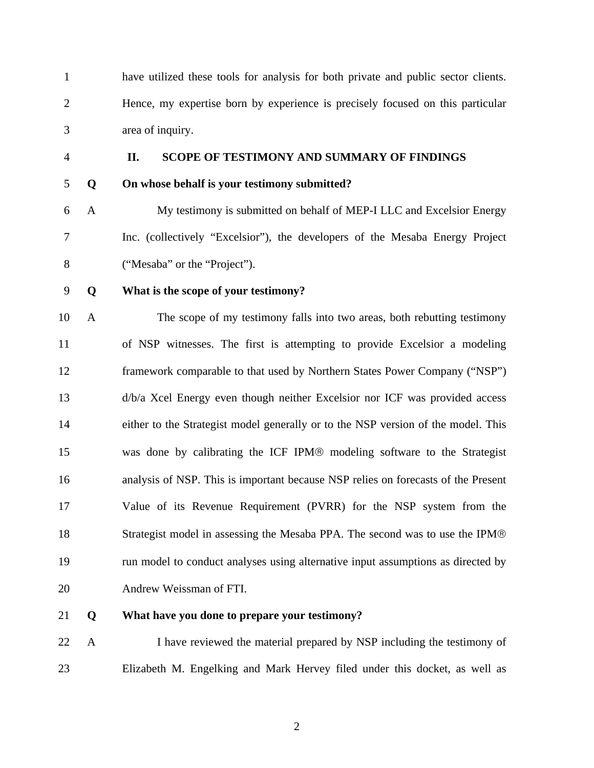1 have utilized these tools for analysis for both private and public sector clients. 2 Hence, my expertise born by experience is precisely focused on this particular 3 area of inquiry.

#### 4 **II. SCOPE OF TESTIMONY AND SUMMARY OF FINDINGS**

### 5 **Q On whose behalf is your testimony submitted?**

6 A My testimony is submitted on behalf of MEP-I LLC and Excelsior Energy 7 Inc. (collectively "Excelsior"), the developers of the Mesaba Energy Project 8 ("Mesaba" or the "Project").

### 9 **Q What is the scope of your testimony?**

10 A The scope of my testimony falls into two areas, both rebutting testimony 11 of NSP witnesses. The first is attempting to provide Excelsior a modeling 12 framework comparable to that used by Northern States Power Company ("NSP") 13 d/b/a Xcel Energy even though neither Excelsior nor ICF was provided access 14 either to the Strategist model generally or to the NSP version of the model. This 15 was done by calibrating the ICF IPM® modeling software to the Strategist 16 analysis of NSP. This is important because NSP relies on forecasts of the Present 17 Value of its Revenue Requirement (PVRR) for the NSP system from the 18 Strategist model in assessing the Mesaba PPA. The second was to use the IPM® 19 run model to conduct analyses using alternative input assumptions as directed by 20 Andrew Weissman of FTI.

21 **Q What have you done to prepare your testimony?** 

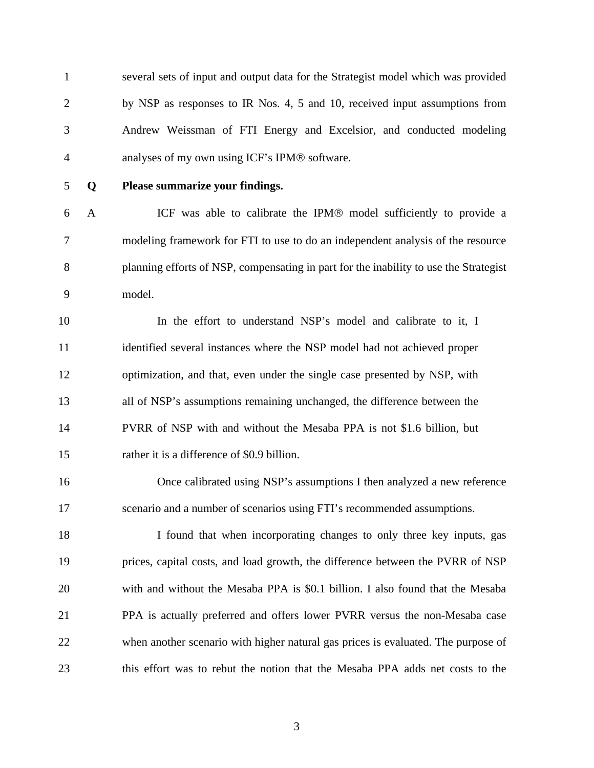1 several sets of input and output data for the Strategist model which was provided 2 by NSP as responses to IR Nos. 4, 5 and 10, received input assumptions from 3 Andrew Weissman of FTI Energy and Excelsior, and conducted modeling 4 analyses of my own using ICF's IPM® software.

#### 5 **Q Please summarize your findings.**

6 A ICF was able to calibrate the IPM® model sufficiently to provide a 7 modeling framework for FTI to use to do an independent analysis of the resource 8 planning efforts of NSP, compensating in part for the inability to use the Strategist 9 model.

10 In the effort to understand NSP's model and calibrate to it, I 11 identified several instances where the NSP model had not achieved proper 12 optimization, and that, even under the single case presented by NSP, with 13 all of NSP's assumptions remaining unchanged, the difference between the 14 PVRR of NSP with and without the Mesaba PPA is not \$1.6 billion, but 15 rather it is a difference of \$0.9 billion.

16 Once calibrated using NSP's assumptions I then analyzed a new reference 17 scenario and a number of scenarios using FTI's recommended assumptions.

18 I found that when incorporating changes to only three key inputs, gas 19 prices, capital costs, and load growth, the difference between the PVRR of NSP 20 with and without the Mesaba PPA is \$0.1 billion. I also found that the Mesaba 21 PPA is actually preferred and offers lower PVRR versus the non-Mesaba case 22 when another scenario with higher natural gas prices is evaluated. The purpose of 23 this effort was to rebut the notion that the Mesaba PPA adds net costs to the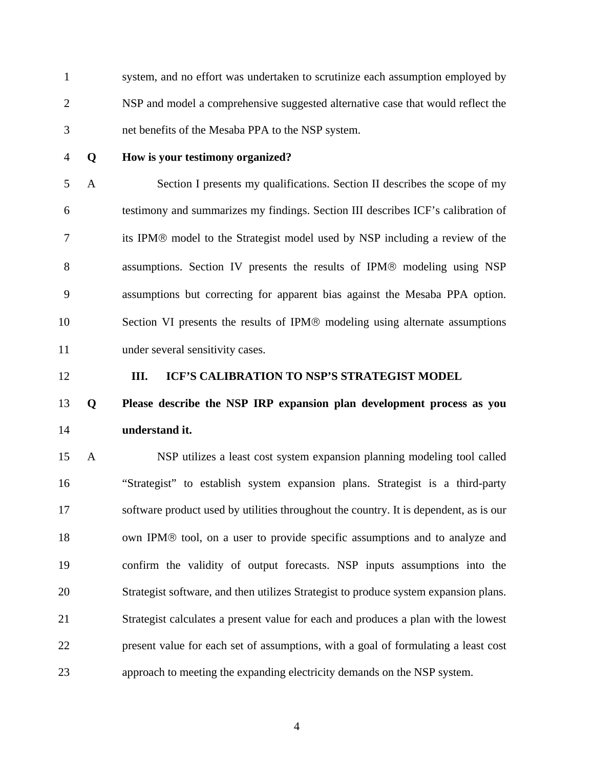1 system, and no effort was undertaken to scrutinize each assumption employed by 2 NSP and model a comprehensive suggested alternative case that would reflect the 3 net benefits of the Mesaba PPA to the NSP system.

### 4 **Q How is your testimony organized?**

5 A Section I presents my qualifications. Section II describes the scope of my 6 testimony and summarizes my findings. Section III describes ICF's calibration of 7 its IPM® model to the Strategist model used by NSP including a review of the 8 assumptions. Section IV presents the results of IPM® modeling using NSP 9 assumptions but correcting for apparent bias against the Mesaba PPA option. 10 Section VI presents the results of IPM® modeling using alternate assumptions 11 under several sensitivity cases.

#### 12 **III. ICF'S CALIBRATION TO NSP'S STRATEGIST MODEL**

# 13 **Q Please describe the NSP IRP expansion plan development process as you**  14 **understand it.**

15 A NSP utilizes a least cost system expansion planning modeling tool called 16 "Strategist" to establish system expansion plans. Strategist is a third-party 17 software product used by utilities throughout the country. It is dependent, as is our 18 own IPM® tool, on a user to provide specific assumptions and to analyze and 19 confirm the validity of output forecasts. NSP inputs assumptions into the 20 Strategist software, and then utilizes Strategist to produce system expansion plans. 21 Strategist calculates a present value for each and produces a plan with the lowest 22 present value for each set of assumptions, with a goal of formulating a least cost 23 approach to meeting the expanding electricity demands on the NSP system.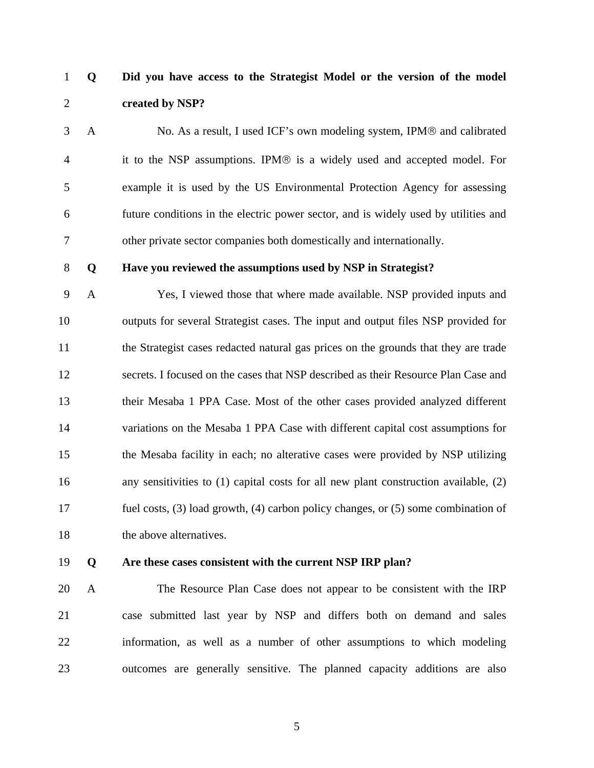# 1 **Q Did you have access to the Strategist Model or the version of the model**  2 **created by NSP?**

3 A No. As a result, I used ICF's own modeling system, IPM® and calibrated 4 it to the NSP assumptions. IPM® is a widely used and accepted model. For 5 example it is used by the US Environmental Protection Agency for assessing 6 future conditions in the electric power sector, and is widely used by utilities and 7 other private sector companies both domestically and internationally.

#### 8 **Q Have you reviewed the assumptions used by NSP in Strategist?**

9 A Yes, I viewed those that where made available. NSP provided inputs and 10 outputs for several Strategist cases. The input and output files NSP provided for 11 the Strategist cases redacted natural gas prices on the grounds that they are trade 12 secrets. I focused on the cases that NSP described as their Resource Plan Case and 13 their Mesaba 1 PPA Case. Most of the other cases provided analyzed different 14 variations on the Mesaba 1 PPA Case with different capital cost assumptions for 15 the Mesaba facility in each; no alterative cases were provided by NSP utilizing 16 any sensitivities to (1) capital costs for all new plant construction available, (2) 17 fuel costs, (3) load growth, (4) carbon policy changes, or (5) some combination of 18 the above alternatives.

#### 19 **Q Are these cases consistent with the current NSP IRP plan?**

20 A The Resource Plan Case does not appear to be consistent with the IRP 21 case submitted last year by NSP and differs both on demand and sales 22 information, as well as a number of other assumptions to which modeling 23 outcomes are generally sensitive. The planned capacity additions are also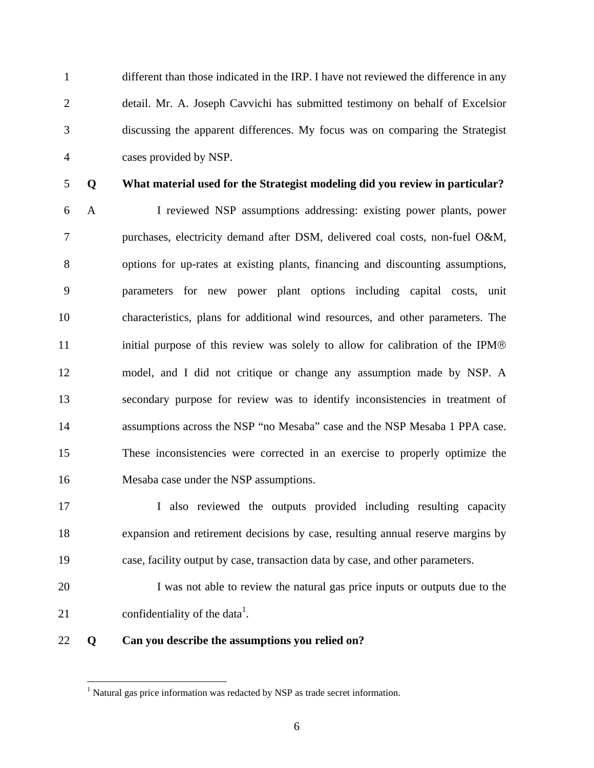1 different than those indicated in the IRP. I have not reviewed the difference in any 2 detail. Mr. A. Joseph Cavvichi has submitted testimony on behalf of Excelsior 3 discussing the apparent differences. My focus was on comparing the Strategist 4 cases provided by NSP.

<u>.</u>

## 5 **Q What material used for the Strategist modeling did you review in particular?**

6 A I reviewed NSP assumptions addressing: existing power plants, power 7 purchases, electricity demand after DSM, delivered coal costs, non-fuel O&M, 8 options for up-rates at existing plants, financing and discounting assumptions, 9 parameters for new power plant options including capital costs, unit 10 characteristics, plans for additional wind resources, and other parameters. The 11 initial purpose of this review was solely to allow for calibration of the IPM® 12 model, and I did not critique or change any assumption made by NSP. A 13 secondary purpose for review was to identify inconsistencies in treatment of 14 assumptions across the NSP "no Mesaba" case and the NSP Mesaba 1 PPA case. 15 These inconsistencies were corrected in an exercise to properly optimize the 16 Mesaba case under the NSP assumptions.

17 I also reviewed the outputs provided including resulting capacity 18 expansion and retirement decisions by case, resulting annual reserve margins by 19 case, facility output by case, transaction data by case, and other parameters.

20 I was not able to review the natural gas price inputs or outputs due to the 21 confidentiality of the data<sup>1</sup>.

### 22 **Q Can you describe the assumptions you relied on?**

 $<sup>1</sup>$  Natural gas price information was redacted by NSP as trade secret information.</sup>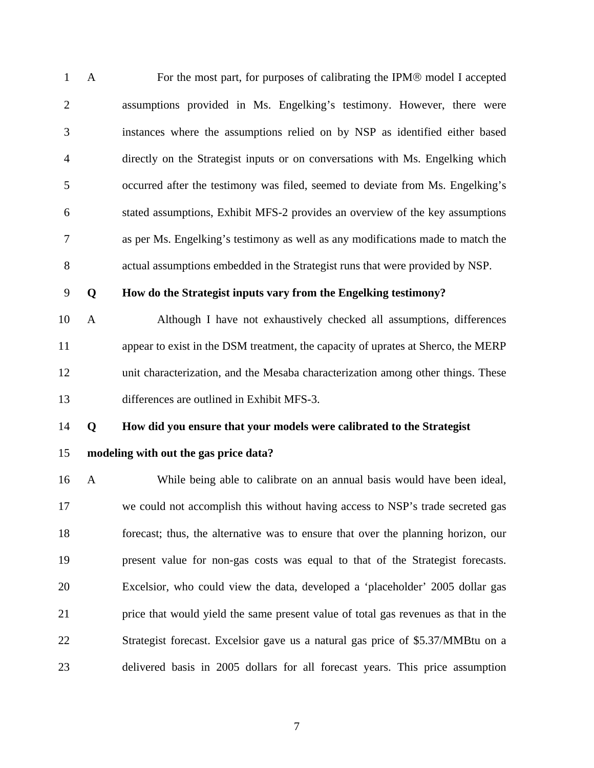1 A For the most part, for purposes of calibrating the IPM® model I accepted 2 assumptions provided in Ms. Engelking's testimony. However, there were 3 instances where the assumptions relied on by NSP as identified either based 4 directly on the Strategist inputs or on conversations with Ms. Engelking which 5 occurred after the testimony was filed, seemed to deviate from Ms. Engelking's 6 stated assumptions, Exhibit MFS-2 provides an overview of the key assumptions 7 as per Ms. Engelking's testimony as well as any modifications made to match the 8 actual assumptions embedded in the Strategist runs that were provided by NSP.

#### 9 **Q How do the Strategist inputs vary from the Engelking testimony?**

10 A Although I have not exhaustively checked all assumptions, differences 11 appear to exist in the DSM treatment, the capacity of uprates at Sherco, the MERP 12 unit characterization, and the Mesaba characterization among other things. These 13 differences are outlined in Exhibit MFS-3.

### 14 **Q How did you ensure that your models were calibrated to the Strategist**

15 **modeling with out the gas price data?** 

16 A While being able to calibrate on an annual basis would have been ideal, 17 we could not accomplish this without having access to NSP's trade secreted gas 18 forecast; thus, the alternative was to ensure that over the planning horizon, our 19 present value for non-gas costs was equal to that of the Strategist forecasts. 20 Excelsior, who could view the data, developed a 'placeholder' 2005 dollar gas 21 price that would yield the same present value of total gas revenues as that in the 22 Strategist forecast. Excelsior gave us a natural gas price of \$5.37/MMBtu on a 23 delivered basis in 2005 dollars for all forecast years. This price assumption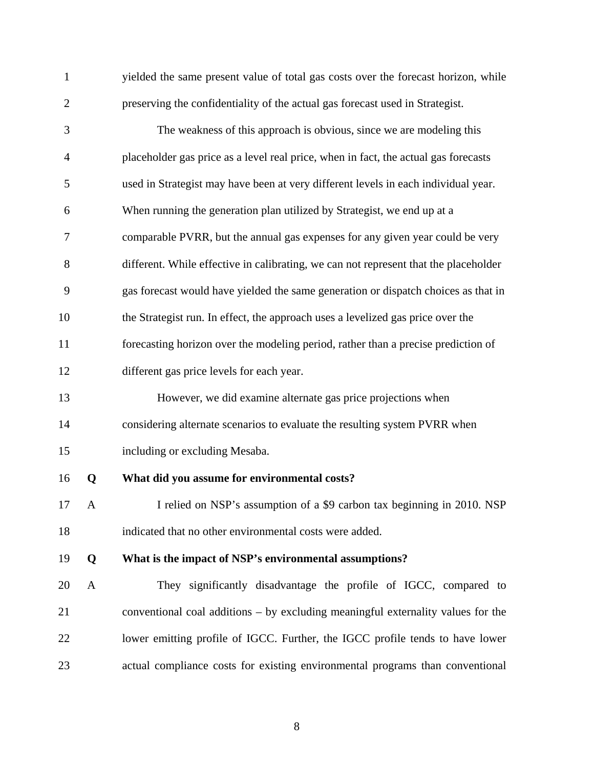| $\mathbf{1}$   |              | yielded the same present value of total gas costs over the forecast horizon, while   |
|----------------|--------------|--------------------------------------------------------------------------------------|
| $\overline{2}$ |              | preserving the confidentiality of the actual gas forecast used in Strategist.        |
| 3              |              | The weakness of this approach is obvious, since we are modeling this                 |
| $\overline{4}$ |              | placeholder gas price as a level real price, when in fact, the actual gas forecasts  |
| 5              |              | used in Strategist may have been at very different levels in each individual year.   |
| 6              |              | When running the generation plan utilized by Strategist, we end up at a              |
| 7              |              | comparable PVRR, but the annual gas expenses for any given year could be very        |
| 8              |              | different. While effective in calibrating, we can not represent that the placeholder |
| 9              |              | gas forecast would have yielded the same generation or dispatch choices as that in   |
| 10             |              | the Strategist run. In effect, the approach uses a levelized gas price over the      |
| 11             |              | forecasting horizon over the modeling period, rather than a precise prediction of    |
| 12             |              | different gas price levels for each year.                                            |
| 13             |              | However, we did examine alternate gas price projections when                         |
| 14             |              | considering alternate scenarios to evaluate the resulting system PVRR when           |
| 15             |              | including or excluding Mesaba.                                                       |
| 16             | Q            | What did you assume for environmental costs?                                         |
| 17             | A            | I relied on NSP's assumption of a \$9 carbon tax beginning in 2010. NSP              |
| 18             |              | indicated that no other environmental costs were added.                              |
| 19             | Q            | What is the impact of NSP's environmental assumptions?                               |
| 20             | $\mathbf{A}$ | They significantly disadvantage the profile of IGCC, compared to                     |
| 21             |              | conventional coal additions $-$ by excluding meaningful externality values for the   |
| 22             |              | lower emitting profile of IGCC. Further, the IGCC profile tends to have lower        |
| 23             |              | actual compliance costs for existing environmental programs than conventional        |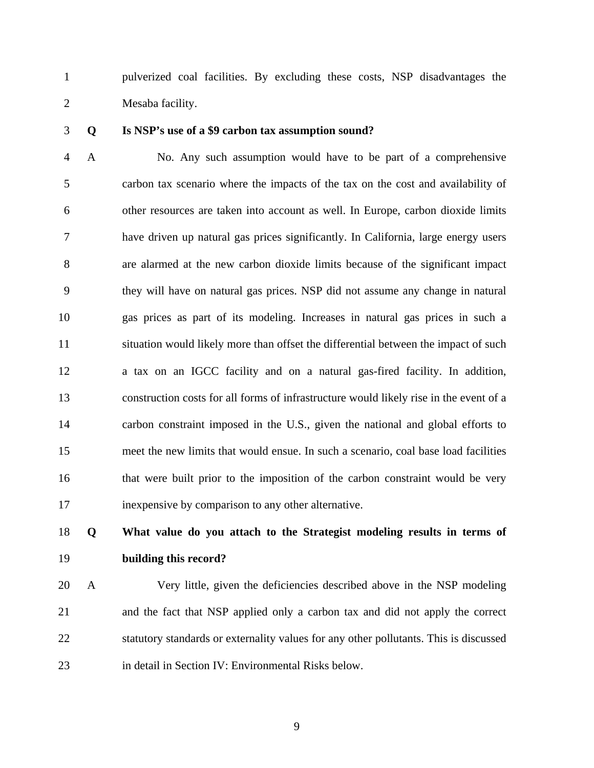1 pulverized coal facilities. By excluding these costs, NSP disadvantages the 2 Mesaba facility.

#### 3 **Q Is NSP's use of a \$9 carbon tax assumption sound?**

4 A No. Any such assumption would have to be part of a comprehensive 5 carbon tax scenario where the impacts of the tax on the cost and availability of 6 other resources are taken into account as well. In Europe, carbon dioxide limits 7 have driven up natural gas prices significantly. In California, large energy users 8 are alarmed at the new carbon dioxide limits because of the significant impact 9 they will have on natural gas prices. NSP did not assume any change in natural 10 gas prices as part of its modeling. Increases in natural gas prices in such a 11 situation would likely more than offset the differential between the impact of such 12 a tax on an IGCC facility and on a natural gas-fired facility. In addition, 13 construction costs for all forms of infrastructure would likely rise in the event of a 14 carbon constraint imposed in the U.S., given the national and global efforts to 15 meet the new limits that would ensue. In such a scenario, coal base load facilities 16 that were built prior to the imposition of the carbon constraint would be very 17 inexpensive by comparison to any other alternative.

# 18 **Q What value do you attach to the Strategist modeling results in terms of**  19 **building this record?**

20 A Very little, given the deficiencies described above in the NSP modeling 21 and the fact that NSP applied only a carbon tax and did not apply the correct 22 statutory standards or externality values for any other pollutants. This is discussed 23 in detail in Section IV: Environmental Risks below.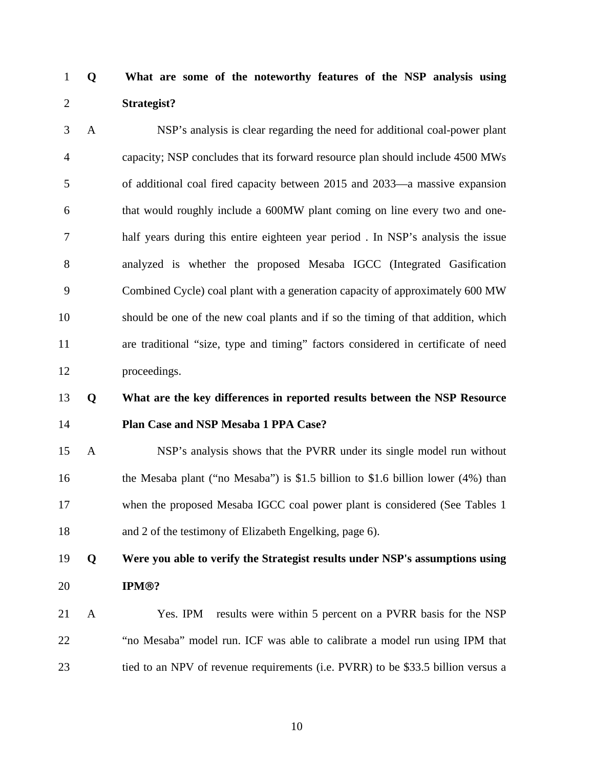# 1 **Q What are some of the noteworthy features of the NSP analysis using**  2 **Strategist?**

3 A NSP's analysis is clear regarding the need for additional coal-power plant 4 capacity; NSP concludes that its forward resource plan should include 4500 MWs 5 of additional coal fired capacity between 2015 and 2033—a massive expansion 6 that would roughly include a 600MW plant coming on line every two and one-7 half years during this entire eighteen year period . In NSP's analysis the issue 8 analyzed is whether the proposed Mesaba IGCC (Integrated Gasification 9 Combined Cycle) coal plant with a generation capacity of approximately 600 MW 10 should be one of the new coal plants and if so the timing of that addition, which 11 are traditional "size, type and timing" factors considered in certificate of need 12 proceedings.

# 13 **Q What are the key differences in reported results between the NSP Resource**  14 **Plan Case and NSP Mesaba 1 PPA Case?**

15 A NSP's analysis shows that the PVRR under its single model run without 16 the Mesaba plant ("no Mesaba") is \$1.5 billion to \$1.6 billion lower (4%) than 17 when the proposed Mesaba IGCC coal power plant is considered (See Tables 1) 18 and 2 of the testimony of Elizabeth Engelking, page 6).

19 **Q Were you able to verify the Strategist results under NSP's assumptions using**  20 **IPM**®**?** 

21 A Yes. IPM results were within 5 percent on a PVRR basis for the NSP 22 "no Mesaba" model run. ICF was able to calibrate a model run using IPM that 23 tied to an NPV of revenue requirements (i.e. PVRR) to be \$33.5 billion versus a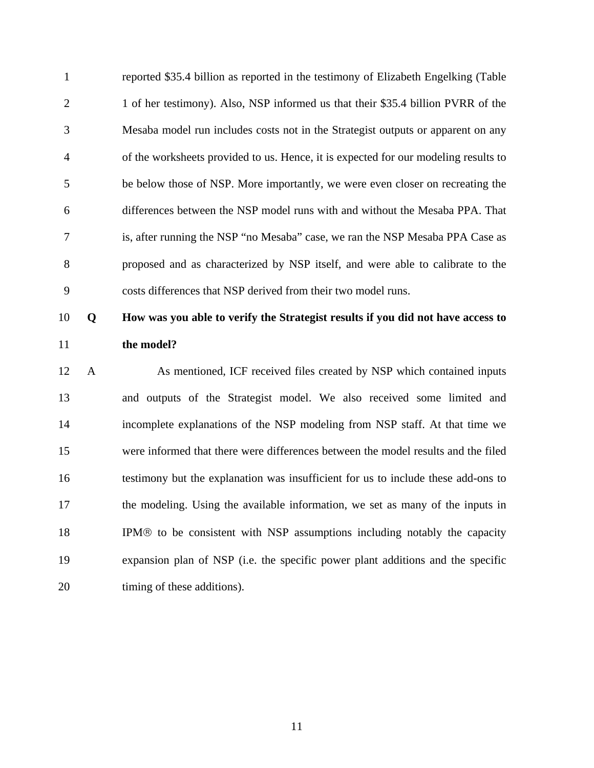1 reported \$35.4 billion as reported in the testimony of Elizabeth Engelking (Table 2 1 of her testimony). Also, NSP informed us that their \$35.4 billion PVRR of the 3 Mesaba model run includes costs not in the Strategist outputs or apparent on any 4 of the worksheets provided to us. Hence, it is expected for our modeling results to 5 be below those of NSP. More importantly, we were even closer on recreating the 6 differences between the NSP model runs with and without the Mesaba PPA. That 7 is, after running the NSP "no Mesaba" case, we ran the NSP Mesaba PPA Case as 8 proposed and as characterized by NSP itself, and were able to calibrate to the 9 costs differences that NSP derived from their two model runs.

# 10 **Q How was you able to verify the Strategist results if you did not have access to**  11 **the model?**

12 A As mentioned, ICF received files created by NSP which contained inputs 13 and outputs of the Strategist model. We also received some limited and 14 incomplete explanations of the NSP modeling from NSP staff. At that time we 15 were informed that there were differences between the model results and the filed 16 testimony but the explanation was insufficient for us to include these add-ons to 17 the modeling. Using the available information, we set as many of the inputs in 18 IPM® to be consistent with NSP assumptions including notably the capacity 19 expansion plan of NSP (i.e. the specific power plant additions and the specific 20 timing of these additions).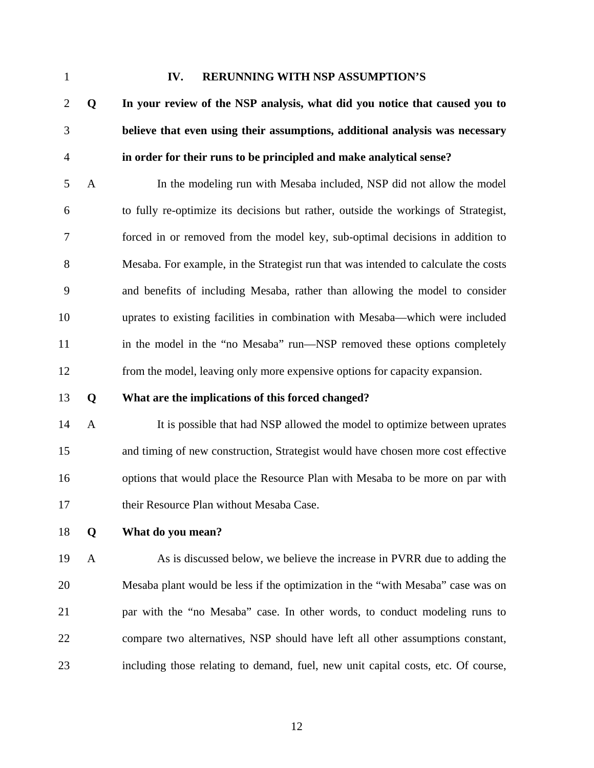#### 1 **IV. RERUNNING WITH NSP ASSUMPTION'S**

2 **Q In your review of the NSP analysis, what did you notice that caused you to**  3 **believe that even using their assumptions, additional analysis was necessary**  4 **in order for their runs to be principled and make analytical sense?** 

5 A In the modeling run with Mesaba included, NSP did not allow the model 6 to fully re-optimize its decisions but rather, outside the workings of Strategist, 7 forced in or removed from the model key, sub-optimal decisions in addition to 8 Mesaba. For example, in the Strategist run that was intended to calculate the costs 9 and benefits of including Mesaba, rather than allowing the model to consider 10 uprates to existing facilities in combination with Mesaba—which were included 11 in the model in the "no Mesaba" run—NSP removed these options completely 12 from the model, leaving only more expensive options for capacity expansion.

13 **Q What are the implications of this forced changed?** 

14 A It is possible that had NSP allowed the model to optimize between uprates 15 and timing of new construction, Strategist would have chosen more cost effective 16 options that would place the Resource Plan with Mesaba to be more on par with 17 their Resource Plan without Mesaba Case.

18 **Q What do you mean?** 

19 A As is discussed below, we believe the increase in PVRR due to adding the 20 Mesaba plant would be less if the optimization in the "with Mesaba" case was on 21 par with the "no Mesaba" case. In other words, to conduct modeling runs to 22 compare two alternatives, NSP should have left all other assumptions constant, 23 including those relating to demand, fuel, new unit capital costs, etc. Of course,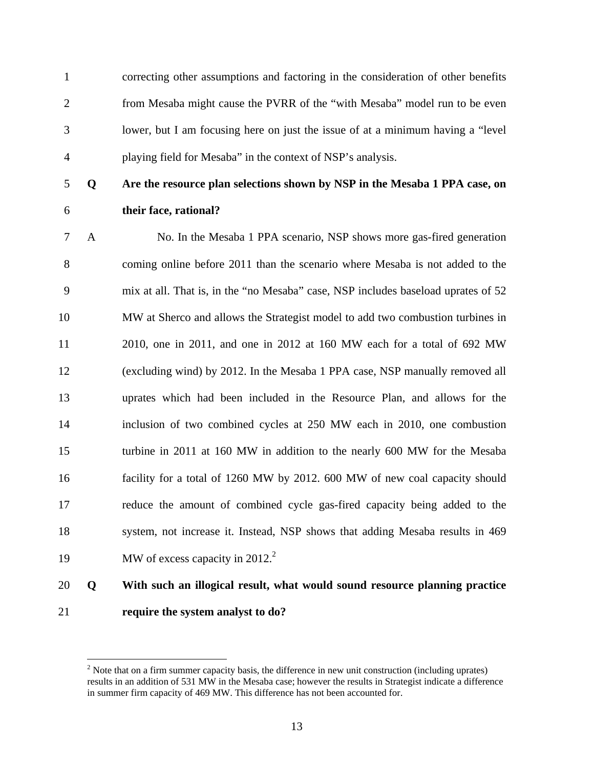1 correcting other assumptions and factoring in the consideration of other benefits 2 from Mesaba might cause the PVRR of the "with Mesaba" model run to be even 3 lower, but I am focusing here on just the issue of at a minimum having a "level 4 playing field for Mesaba" in the context of NSP's analysis.

1

# 5 **Q Are the resource plan selections shown by NSP in the Mesaba 1 PPA case, on**  6 **their face, rational?**

7 A No. In the Mesaba 1 PPA scenario, NSP shows more gas-fired generation 8 coming online before 2011 than the scenario where Mesaba is not added to the 9 mix at all. That is, in the "no Mesaba" case, NSP includes baseload uprates of 52 10 MW at Sherco and allows the Strategist model to add two combustion turbines in 11 2010, one in 2011, and one in 2012 at 160 MW each for a total of 692 MW 12 (excluding wind) by 2012. In the Mesaba 1 PPA case, NSP manually removed all 13 uprates which had been included in the Resource Plan, and allows for the 14 inclusion of two combined cycles at 250 MW each in 2010, one combustion 15 turbine in 2011 at 160 MW in addition to the nearly 600 MW for the Mesaba 16 facility for a total of 1260 MW by 2012. 600 MW of new coal capacity should 17 reduce the amount of combined cycle gas-fired capacity being added to the 18 system, not increase it. Instead, NSP shows that adding Mesaba results in 469 19 MW of excess capacity in 2012.<sup>2</sup>

# 20 **Q With such an illogical result, what would sound resource planning practice**  21 **require the system analyst to do?**

 $2^2$  Note that on a firm summer capacity basis, the difference in new unit construction (including uprates) results in an addition of 531 MW in the Mesaba case; however the results in Strategist indicate a difference in summer firm capacity of 469 MW. This difference has not been accounted for.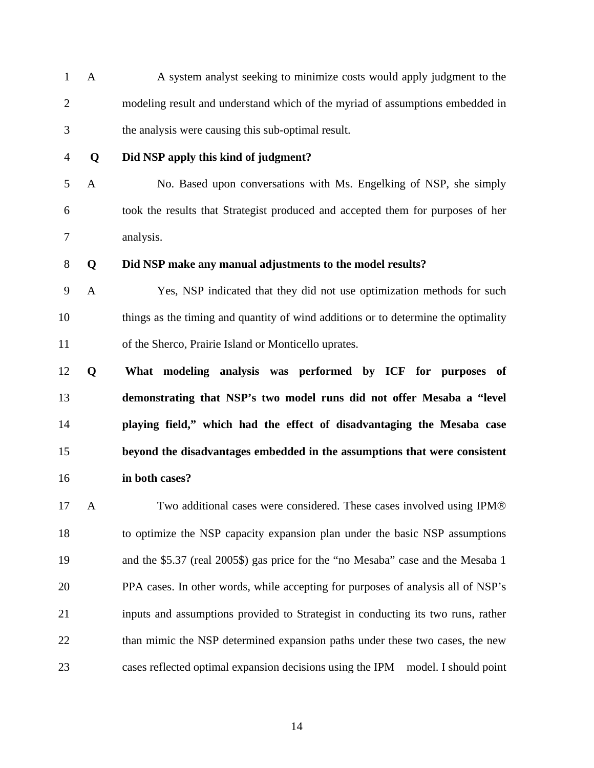1 A A system analyst seeking to minimize costs would apply judgment to the 2 modeling result and understand which of the myriad of assumptions embedded in 3 the analysis were causing this sub-optimal result.

#### 4 **Q Did NSP apply this kind of judgment?**

5 A No. Based upon conversations with Ms. Engelking of NSP, she simply 6 took the results that Strategist produced and accepted them for purposes of her 7 analysis.

### 8 **Q Did NSP make any manual adjustments to the model results?**

9 A Yes, NSP indicated that they did not use optimization methods for such 10 things as the timing and quantity of wind additions or to determine the optimality 11 of the Sherco, Prairie Island or Monticello uprates.

**Q What modeling analysis was performed by ICF for purposes of demonstrating that NSP's two model runs did not offer Mesaba a "level playing field," which had the effect of disadvantaging the Mesaba case beyond the disadvantages embedded in the assumptions that were consistent in both cases?** 

17 A Two additional cases were considered. These cases involved using IPM® 18 to optimize the NSP capacity expansion plan under the basic NSP assumptions 19 and the \$5.37 (real 2005\$) gas price for the "no Mesaba" case and the Mesaba 1 20 PPA cases. In other words, while accepting for purposes of analysis all of NSP's 21 inputs and assumptions provided to Strategist in conducting its two runs, rather 22 than mimic the NSP determined expansion paths under these two cases, the new 23 cases reflected optimal expansion decisions using the IPM model. I should point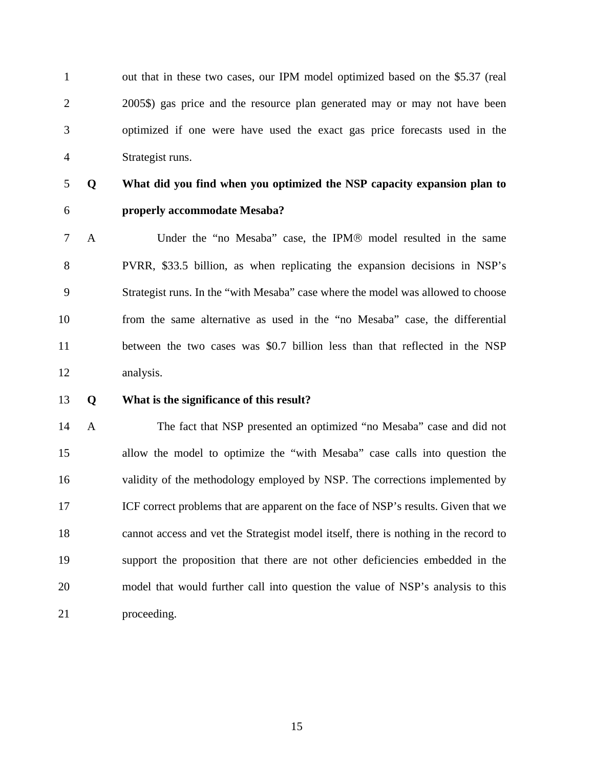1 out that in these two cases, our IPM model optimized based on the \$5.37 (real 2 2005\$) gas price and the resource plan generated may or may not have been 3 optimized if one were have used the exact gas price forecasts used in the 4 Strategist runs.

# 5 **Q What did you find when you optimized the NSP capacity expansion plan to**  6 **properly accommodate Mesaba?**

- 7 A Under the "no Mesaba" case, the IPM® model resulted in the same 8 PVRR, \$33.5 billion, as when replicating the expansion decisions in NSP's 9 Strategist runs. In the "with Mesaba" case where the model was allowed to choose 10 from the same alternative as used in the "no Mesaba" case, the differential 11 between the two cases was \$0.7 billion less than that reflected in the NSP 12 analysis.
- 13 **Q What is the significance of this result?**

14 A The fact that NSP presented an optimized "no Mesaba" case and did not 15 allow the model to optimize the "with Mesaba" case calls into question the 16 validity of the methodology employed by NSP. The corrections implemented by 17 ICF correct problems that are apparent on the face of NSP's results. Given that we 18 cannot access and vet the Strategist model itself, there is nothing in the record to 19 support the proposition that there are not other deficiencies embedded in the 20 model that would further call into question the value of NSP's analysis to this 21 proceeding.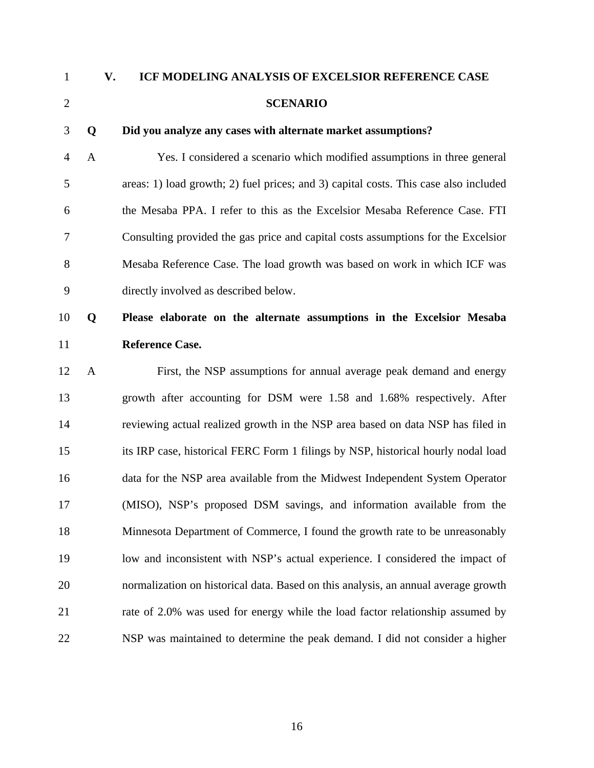# 1 **V. ICF MODELING ANALYSIS OF EXCELSIOR REFERENCE CASE**  2 **SCENARIO**

#### 3 **Q Did you analyze any cases with alternate market assumptions?**

4 A Yes. I considered a scenario which modified assumptions in three general 5 areas: 1) load growth; 2) fuel prices; and 3) capital costs. This case also included 6 the Mesaba PPA. I refer to this as the Excelsior Mesaba Reference Case. FTI 7 Consulting provided the gas price and capital costs assumptions for the Excelsior 8 Mesaba Reference Case. The load growth was based on work in which ICF was 9 directly involved as described below.

# 10 **Q Please elaborate on the alternate assumptions in the Excelsior Mesaba**  11 **Reference Case.**

12 A First, the NSP assumptions for annual average peak demand and energy 13 growth after accounting for DSM were 1.58 and 1.68% respectively. After 14 reviewing actual realized growth in the NSP area based on data NSP has filed in 15 its IRP case, historical FERC Form 1 filings by NSP, historical hourly nodal load 16 data for the NSP area available from the Midwest Independent System Operator 17 (MISO), NSP's proposed DSM savings, and information available from the 18 Minnesota Department of Commerce, I found the growth rate to be unreasonably 19 low and inconsistent with NSP's actual experience. I considered the impact of 20 normalization on historical data. Based on this analysis, an annual average growth 21 rate of 2.0% was used for energy while the load factor relationship assumed by 22 NSP was maintained to determine the peak demand. I did not consider a higher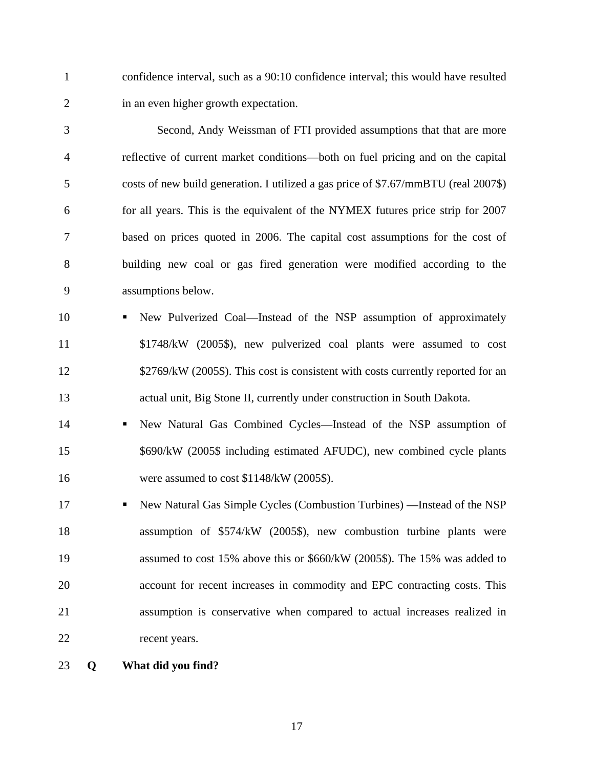1 confidence interval, such as a 90:10 confidence interval; this would have resulted 2 in an even higher growth expectation.

3 Second, Andy Weissman of FTI provided assumptions that that are more 4 reflective of current market conditions—both on fuel pricing and on the capital 5 costs of new build generation. I utilized a gas price of \$7.67/mmBTU (real 2007\$) 6 for all years. This is the equivalent of the NYMEX futures price strip for 2007 7 based on prices quoted in 2006. The capital cost assumptions for the cost of 8 building new coal or gas fired generation were modified according to the 9 assumptions below.

- 10 New Pulverized Coal—Instead of the NSP assumption of approximately 11 \$1748/kW (2005\$), new pulverized coal plants were assumed to cost 12 \$2769/kW (2005\$). This cost is consistent with costs currently reported for an 13 actual unit, Big Stone II, currently under construction in South Dakota.
- 14 New Natural Gas Combined Cycles—Instead of the NSP assumption of 15 \$690/kW (2005\$ including estimated AFUDC), new combined cycle plants 16 were assumed to cost \$1148/kW (2005\$).
- 17 **New Natural Gas Simple Cycles (Combustion Turbines)** —Instead of the NSP 18 assumption of \$574/kW (2005\$), new combustion turbine plants were 19 assumed to cost 15% above this or \$660/kW (2005\$). The 15% was added to 20 account for recent increases in commodity and EPC contracting costs. This 21 assumption is conservative when compared to actual increases realized in 22 recent years.
- 23 **Q What did you find?**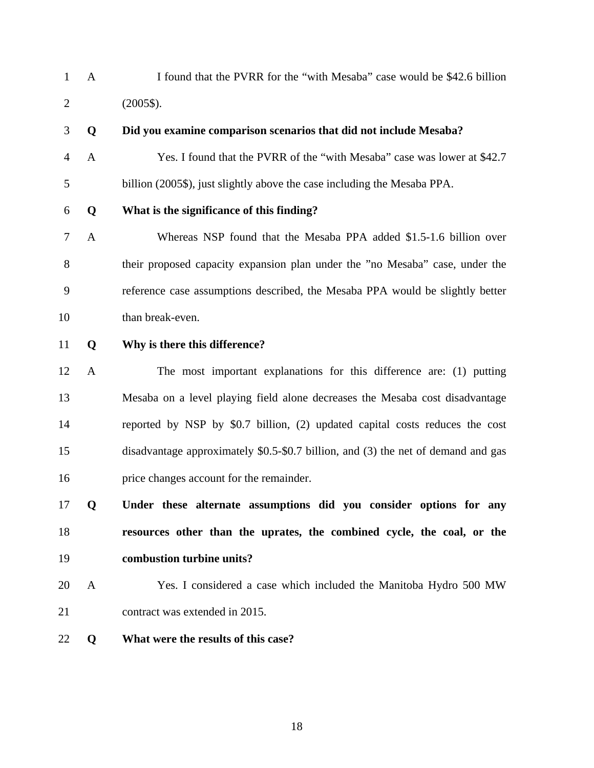1 A I found that the PVRR for the "with Mesaba" case would be \$42.6 billion 2 (2005\$).

4 A Yes. I found that the PVRR of the "with Mesaba" case was lower at \$42.7

- 3 **Q Did you examine comparison scenarios that did not include Mesaba?**
- 

# 5 billion (2005\$), just slightly above the case including the Mesaba PPA.

- 6 **Q What is the significance of this finding?**
- 7 A Whereas NSP found that the Mesaba PPA added \$1.5-1.6 billion over 8 their proposed capacity expansion plan under the "no Mesaba" case, under the 9 reference case assumptions described, the Mesaba PPA would be slightly better 10 than break-even.
- 11 **Q Why is there this difference?**
- 12 A The most important explanations for this difference are: (1) putting 13 Mesaba on a level playing field alone decreases the Mesaba cost disadvantage 14 reported by NSP by \$0.7 billion, (2) updated capital costs reduces the cost 15 disadvantage approximately \$0.5-\$0.7 billion, and (3) the net of demand and gas 16 price changes account for the remainder.
- 17 **Q Under these alternate assumptions did you consider options for any**  18 **resources other than the uprates, the combined cycle, the coal, or the**  19 **combustion turbine units?**
- 20 A Yes. I considered a case which included the Manitoba Hydro 500 MW 21 contract was extended in 2015.
- 22 **Q What were the results of this case?**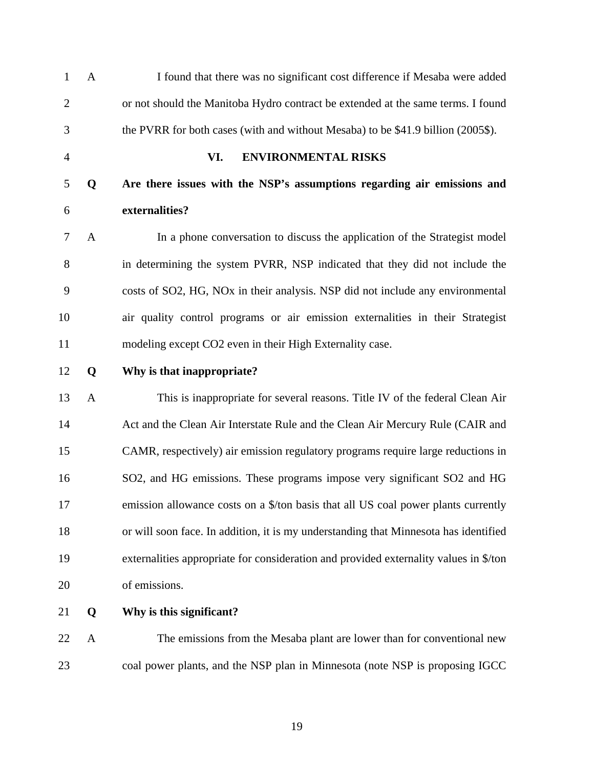| $\mathbf{1}$   | $\mathbf{A}$ | I found that there was no significant cost difference if Mesaba were added                 |
|----------------|--------------|--------------------------------------------------------------------------------------------|
| $\overline{2}$ |              | or not should the Manitoba Hydro contract be extended at the same terms. I found           |
| 3              |              | the PVRR for both cases (with and without Mesaba) to be \$41.9 billion (2005\$).           |
| $\overline{4}$ |              | VI.<br><b>ENVIRONMENTAL RISKS</b>                                                          |
| 5              | Q            | Are there issues with the NSP's assumptions regarding air emissions and                    |
| 6              |              | externalities?                                                                             |
| 7              | A            | In a phone conversation to discuss the application of the Strategist model                 |
| $8\,$          |              | in determining the system PVRR, NSP indicated that they did not include the                |
| 9              |              | costs of SO2, HG, NO <sub>x</sub> in their analysis. NSP did not include any environmental |
| 10             |              | air quality control programs or air emission externalities in their Strategist             |
| 11             |              | modeling except CO2 even in their High Externality case.                                   |
| 12             | Q            | Why is that inappropriate?                                                                 |
| 13             | $\mathbf{A}$ | This is inappropriate for several reasons. Title IV of the federal Clean Air               |
| 14             |              | Act and the Clean Air Interstate Rule and the Clean Air Mercury Rule (CAIR and             |
| 15             |              | CAMR, respectively) air emission regulatory programs require large reductions in           |
| 16             |              | SO2, and HG emissions. These programs impose very significant SO2 and HG                   |
| 17             |              | emission allowance costs on a \$/ton basis that all US coal power plants currently         |
| 18             |              | or will soon face. In addition, it is my understanding that Minnesota has identified       |
| 19             |              | externalities appropriate for consideration and provided externality values in \$/ton      |
| 20             |              | of emissions.                                                                              |
| 21             | Q            | Why is this significant?                                                                   |
| 22             | A            | The emissions from the Mesaba plant are lower than for conventional new                    |
| 23             |              | coal power plants, and the NSP plan in Minnesota (note NSP is proposing IGCC)              |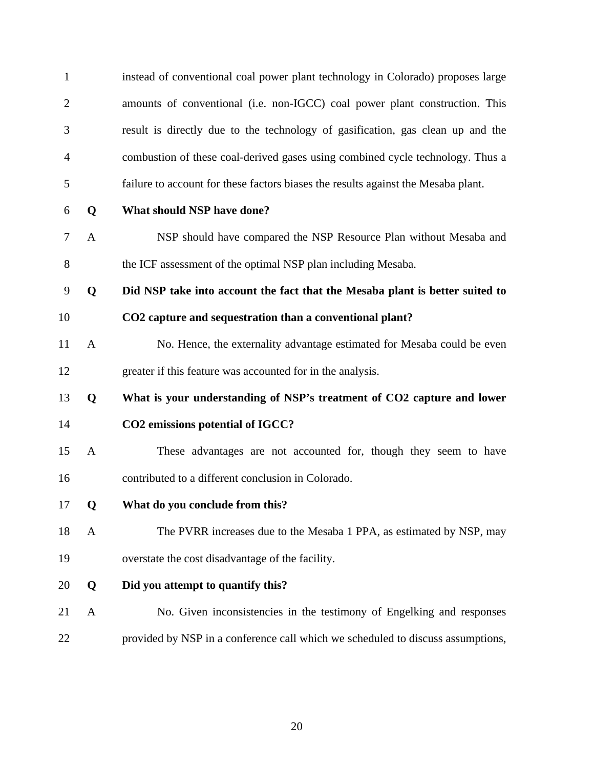| $\mathbf{1}$   |              | instead of conventional coal power plant technology in Colorado) proposes large   |
|----------------|--------------|-----------------------------------------------------------------------------------|
| $\overline{2}$ |              | amounts of conventional (i.e. non-IGCC) coal power plant construction. This       |
| 3              |              | result is directly due to the technology of gasification, gas clean up and the    |
| $\overline{4}$ |              | combustion of these coal-derived gases using combined cycle technology. Thus a    |
| 5              |              | failure to account for these factors biases the results against the Mesaba plant. |
| 6              | Q            | What should NSP have done?                                                        |
| 7              | $\mathbf{A}$ | NSP should have compared the NSP Resource Plan without Mesaba and                 |
| $8\,$          |              | the ICF assessment of the optimal NSP plan including Mesaba.                      |
| 9              | Q            | Did NSP take into account the fact that the Mesaba plant is better suited to      |
| 10             |              | CO2 capture and sequestration than a conventional plant?                          |
| 11             | $\mathbf{A}$ | No. Hence, the externality advantage estimated for Mesaba could be even           |
| 12             |              | greater if this feature was accounted for in the analysis.                        |
| 13             | Q            | What is your understanding of NSP's treatment of CO2 capture and lower            |
| 14             |              | CO2 emissions potential of IGCC?                                                  |
| 15             | $\mathbf{A}$ | These advantages are not accounted for, though they seem to have                  |
| 16             |              | contributed to a different conclusion in Colorado.                                |
| 17             | Q            | What do you conclude from this?                                                   |
| 18             | A            | The PVRR increases due to the Mesaba 1 PPA, as estimated by NSP, may              |
| 19             |              | overstate the cost disadvantage of the facility.                                  |
| 20             | Q            | Did you attempt to quantify this?                                                 |
| 21             | A            | No. Given inconsistencies in the testimony of Engelking and responses             |
| 22             |              | provided by NSP in a conference call which we scheduled to discuss assumptions,   |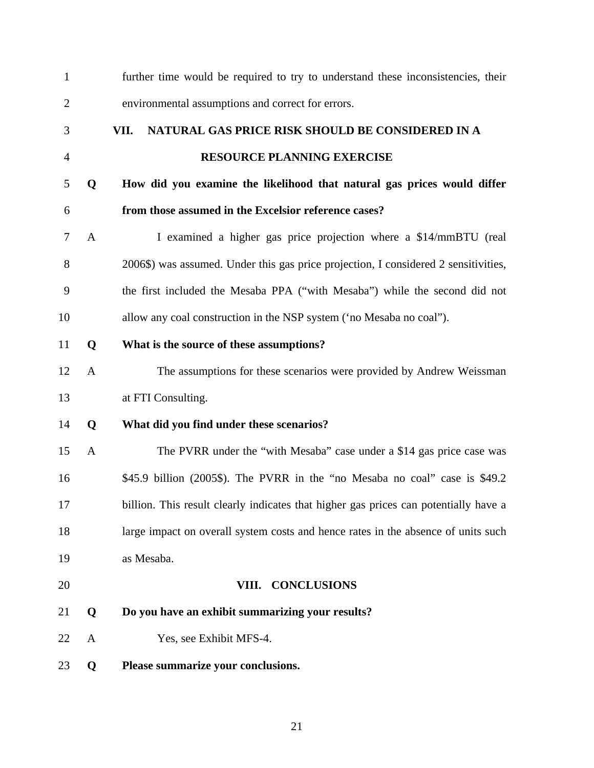| $\mathbf{1}$   |              | further time would be required to try to understand these inconsistencies, their     |
|----------------|--------------|--------------------------------------------------------------------------------------|
| $\overline{2}$ |              | environmental assumptions and correct for errors.                                    |
| 3              |              | NATURAL GAS PRICE RISK SHOULD BE CONSIDERED IN A<br>VII.                             |
| $\overline{4}$ |              | <b>RESOURCE PLANNING EXERCISE</b>                                                    |
| 5              | Q            | How did you examine the likelihood that natural gas prices would differ              |
| 6              |              | from those assumed in the Excelsior reference cases?                                 |
| 7              | A            | I examined a higher gas price projection where a \$14/mmBTU (real                    |
| 8              |              | 2006\$) was assumed. Under this gas price projection, I considered 2 sensitivities,  |
| 9              |              | the first included the Mesaba PPA ("with Mesaba") while the second did not           |
| 10             |              | allow any coal construction in the NSP system ('no Mesaba no coal'').                |
| 11             | Q            | What is the source of these assumptions?                                             |
| 12             | $\mathbf{A}$ | The assumptions for these scenarios were provided by Andrew Weissman                 |
| 13             |              | at FTI Consulting.                                                                   |
| 14             | Q            | What did you find under these scenarios?                                             |
| 15             | $\mathbf{A}$ | The PVRR under the "with Mesaba" case under a \$14 gas price case was                |
| 16             |              | \$45.9 billion (2005\$). The PVRR in the "no Mesaba no coal" case is \$49.2          |
| 17             |              | billion. This result clearly indicates that higher gas prices can potentially have a |
| 18             |              | large impact on overall system costs and hence rates in the absence of units such    |
| 19             |              | as Mesaba.                                                                           |
| 20             |              | VIII. CONCLUSIONS                                                                    |
| 21             | Q            | Do you have an exhibit summarizing your results?                                     |
| 22             | $\mathbf{A}$ | Yes, see Exhibit MFS-4.                                                              |
| 23             | Q            | Please summarize your conclusions.                                                   |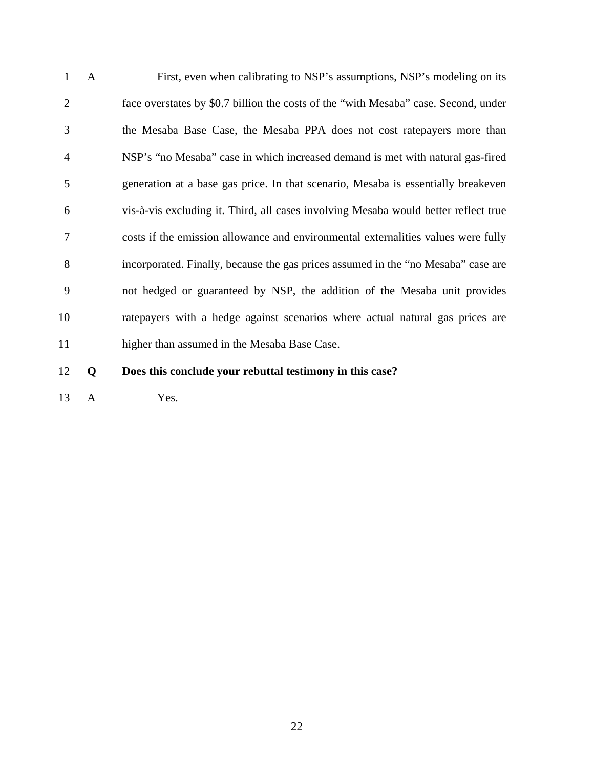1 A First, even when calibrating to NSP's assumptions, NSP's modeling on its 2 face overstates by \$0.7 billion the costs of the "with Mesaba" case. Second, under 3 the Mesaba Base Case, the Mesaba PPA does not cost ratepayers more than 4 NSP's "no Mesaba" case in which increased demand is met with natural gas-fired 5 generation at a base gas price. In that scenario, Mesaba is essentially breakeven 6 vis-à-vis excluding it. Third, all cases involving Mesaba would better reflect true 7 costs if the emission allowance and environmental externalities values were fully 8 incorporated. Finally, because the gas prices assumed in the "no Mesaba" case are 9 not hedged or guaranteed by NSP, the addition of the Mesaba unit provides 10 ratepayers with a hedge against scenarios where actual natural gas prices are 11 higher than assumed in the Mesaba Base Case.

- 12 **Q Does this conclude your rebuttal testimony in this case?**
- 13 A Yes.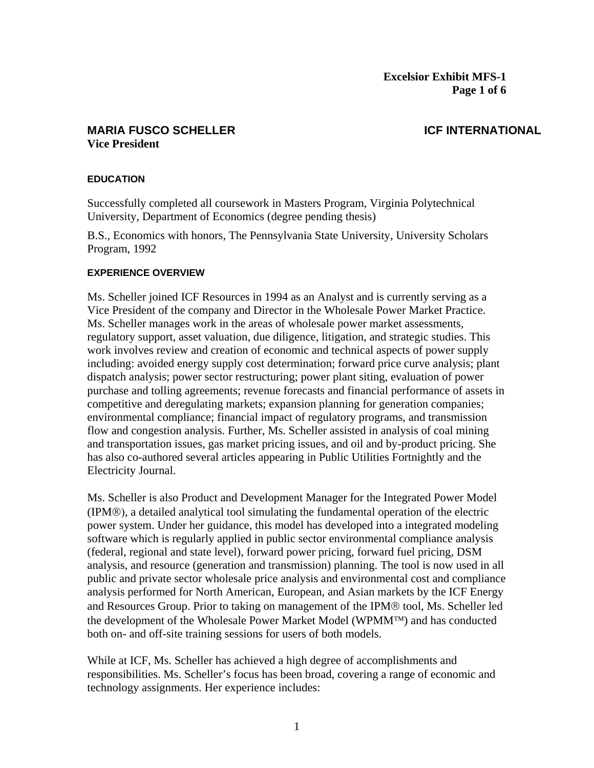#### **MARIA FUSCO SCHELLER ICF INTERNATIONAL Vice President**

#### **EDUCATION**

Successfully completed all coursework in Masters Program, Virginia Polytechnical University, Department of Economics (degree pending thesis)

B.S., Economics with honors, The Pennsylvania State University, University Scholars Program, 1992

#### **EXPERIENCE OVERVIEW**

Ms. Scheller joined ICF Resources in 1994 as an Analyst and is currently serving as a Vice President of the company and Director in the Wholesale Power Market Practice. Ms. Scheller manages work in the areas of wholesale power market assessments, regulatory support, asset valuation, due diligence, litigation, and strategic studies. This work involves review and creation of economic and technical aspects of power supply including: avoided energy supply cost determination; forward price curve analysis; plant dispatch analysis; power sector restructuring; power plant siting, evaluation of power purchase and tolling agreements; revenue forecasts and financial performance of assets in competitive and deregulating markets; expansion planning for generation companies; environmental compliance; financial impact of regulatory programs, and transmission flow and congestion analysis. Further, Ms. Scheller assisted in analysis of coal mining and transportation issues, gas market pricing issues, and oil and by-product pricing. She has also co-authored several articles appearing in Public Utilities Fortnightly and the Electricity Journal.

Ms. Scheller is also Product and Development Manager for the Integrated Power Model (IPM®), a detailed analytical tool simulating the fundamental operation of the electric power system. Under her guidance, this model has developed into a integrated modeling software which is regularly applied in public sector environmental compliance analysis (federal, regional and state level), forward power pricing, forward fuel pricing, DSM analysis, and resource (generation and transmission) planning. The tool is now used in all public and private sector wholesale price analysis and environmental cost and compliance analysis performed for North American, European, and Asian markets by the ICF Energy and Resources Group. Prior to taking on management of the IPM® tool, Ms. Scheller led the development of the Wholesale Power Market Model (WPMM™) and has conducted both on- and off-site training sessions for users of both models.

While at ICF, Ms. Scheller has achieved a high degree of accomplishments and responsibilities. Ms. Scheller's focus has been broad, covering a range of economic and technology assignments. Her experience includes: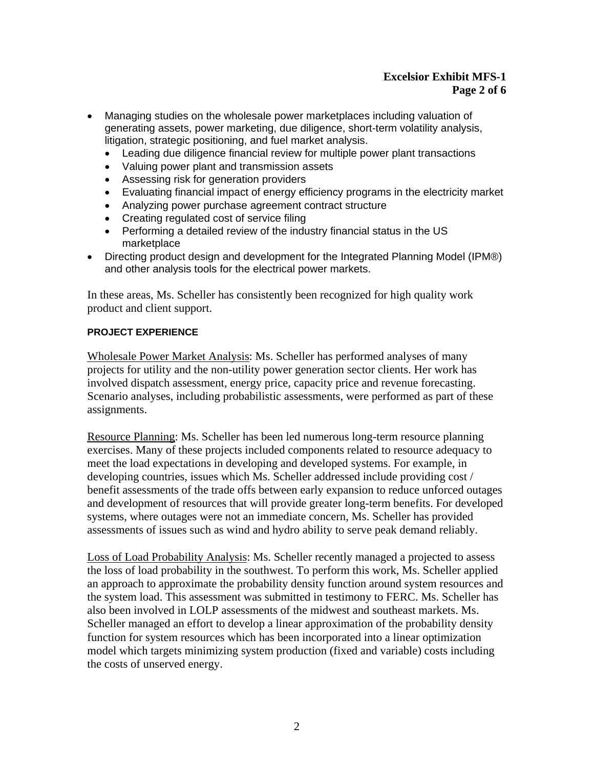#### **Excelsior Exhibit MFS-1 Page 2 of 6**

- Managing studies on the wholesale power marketplaces including valuation of generating assets, power marketing, due diligence, short-term volatility analysis, litigation, strategic positioning, and fuel market analysis.
	- Leading due diligence financial review for multiple power plant transactions
	- Valuing power plant and transmission assets
	- Assessing risk for generation providers
	- Evaluating financial impact of energy efficiency programs in the electricity market
	- Analyzing power purchase agreement contract structure
	- Creating regulated cost of service filing
	- Performing a detailed review of the industry financial status in the US marketplace
- Directing product design and development for the Integrated Planning Model (IPM®) and other analysis tools for the electrical power markets.

In these areas, Ms. Scheller has consistently been recognized for high quality work product and client support.

#### **PROJECT EXPERIENCE**

Wholesale Power Market Analysis: Ms. Scheller has performed analyses of many projects for utility and the non-utility power generation sector clients. Her work has involved dispatch assessment, energy price, capacity price and revenue forecasting. Scenario analyses, including probabilistic assessments, were performed as part of these assignments.

Resource Planning: Ms. Scheller has been led numerous long-term resource planning exercises. Many of these projects included components related to resource adequacy to meet the load expectations in developing and developed systems. For example, in developing countries, issues which Ms. Scheller addressed include providing cost / benefit assessments of the trade offs between early expansion to reduce unforced outages and development of resources that will provide greater long-term benefits. For developed systems, where outages were not an immediate concern, Ms. Scheller has provided assessments of issues such as wind and hydro ability to serve peak demand reliably.

Loss of Load Probability Analysis: Ms. Scheller recently managed a projected to assess the loss of load probability in the southwest. To perform this work, Ms. Scheller applied an approach to approximate the probability density function around system resources and the system load. This assessment was submitted in testimony to FERC. Ms. Scheller has also been involved in LOLP assessments of the midwest and southeast markets. Ms. Scheller managed an effort to develop a linear approximation of the probability density function for system resources which has been incorporated into a linear optimization model which targets minimizing system production (fixed and variable) costs including the costs of unserved energy.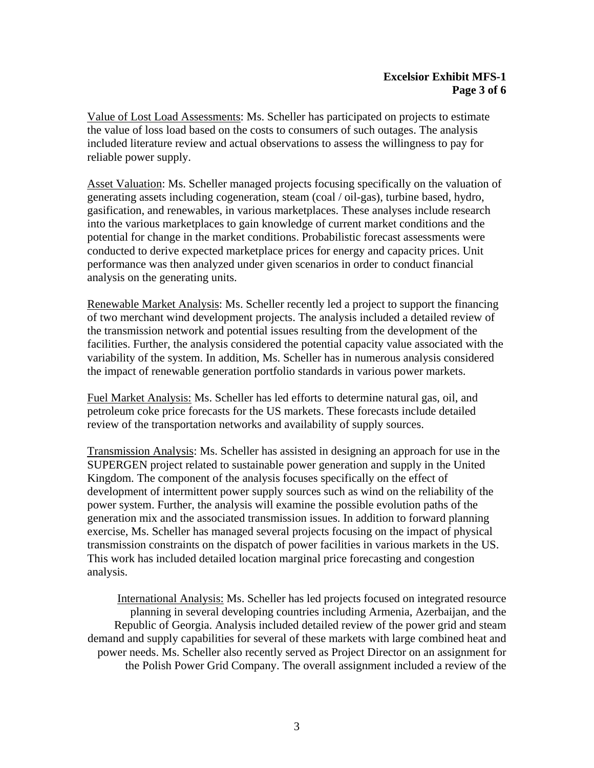Value of Lost Load Assessments: Ms. Scheller has participated on projects to estimate the value of loss load based on the costs to consumers of such outages. The analysis included literature review and actual observations to assess the willingness to pay for reliable power supply.

Asset Valuation: Ms. Scheller managed projects focusing specifically on the valuation of generating assets including cogeneration, steam (coal / oil-gas), turbine based, hydro, gasification, and renewables, in various marketplaces. These analyses include research into the various marketplaces to gain knowledge of current market conditions and the potential for change in the market conditions. Probabilistic forecast assessments were conducted to derive expected marketplace prices for energy and capacity prices. Unit performance was then analyzed under given scenarios in order to conduct financial analysis on the generating units.

Renewable Market Analysis: Ms. Scheller recently led a project to support the financing of two merchant wind development projects. The analysis included a detailed review of the transmission network and potential issues resulting from the development of the facilities. Further, the analysis considered the potential capacity value associated with the variability of the system. In addition, Ms. Scheller has in numerous analysis considered the impact of renewable generation portfolio standards in various power markets.

Fuel Market Analysis: Ms. Scheller has led efforts to determine natural gas, oil, and petroleum coke price forecasts for the US markets. These forecasts include detailed review of the transportation networks and availability of supply sources.

Transmission Analysis: Ms. Scheller has assisted in designing an approach for use in the SUPERGEN project related to sustainable power generation and supply in the United Kingdom. The component of the analysis focuses specifically on the effect of development of intermittent power supply sources such as wind on the reliability of the power system. Further, the analysis will examine the possible evolution paths of the generation mix and the associated transmission issues. In addition to forward planning exercise, Ms. Scheller has managed several projects focusing on the impact of physical transmission constraints on the dispatch of power facilities in various markets in the US. This work has included detailed location marginal price forecasting and congestion analysis.

International Analysis: Ms. Scheller has led projects focused on integrated resource planning in several developing countries including Armenia, Azerbaijan, and the Republic of Georgia. Analysis included detailed review of the power grid and steam demand and supply capabilities for several of these markets with large combined heat and power needs. Ms. Scheller also recently served as Project Director on an assignment for the Polish Power Grid Company. The overall assignment included a review of the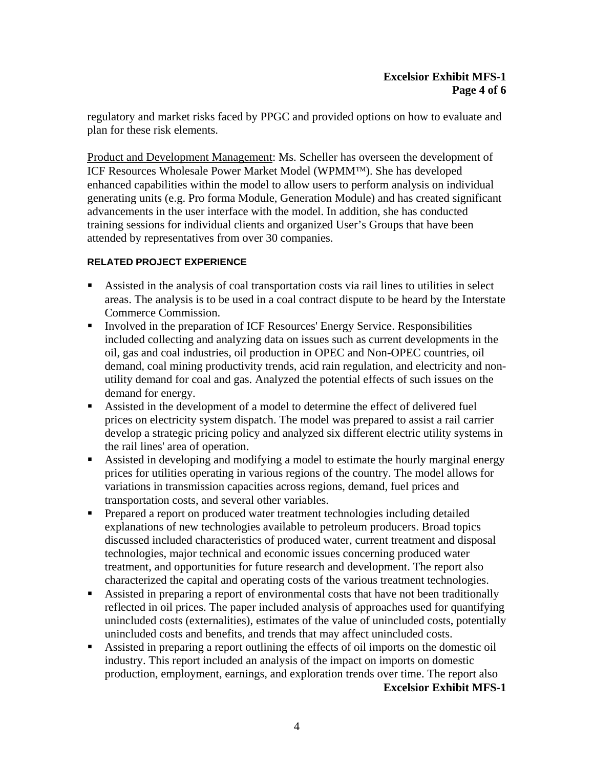regulatory and market risks faced by PPGC and provided options on how to evaluate and plan for these risk elements.

Product and Development Management: Ms. Scheller has overseen the development of ICF Resources Wholesale Power Market Model (WPMM™). She has developed enhanced capabilities within the model to allow users to perform analysis on individual generating units (e.g. Pro forma Module, Generation Module) and has created significant advancements in the user interface with the model. In addition, she has conducted training sessions for individual clients and organized User's Groups that have been attended by representatives from over 30 companies.

#### **RELATED PROJECT EXPERIENCE**

- Assisted in the analysis of coal transportation costs via rail lines to utilities in select areas. The analysis is to be used in a coal contract dispute to be heard by the Interstate Commerce Commission.
- Involved in the preparation of ICF Resources' Energy Service. Responsibilities included collecting and analyzing data on issues such as current developments in the oil, gas and coal industries, oil production in OPEC and Non-OPEC countries, oil demand, coal mining productivity trends, acid rain regulation, and electricity and nonutility demand for coal and gas. Analyzed the potential effects of such issues on the demand for energy.
- Assisted in the development of a model to determine the effect of delivered fuel prices on electricity system dispatch. The model was prepared to assist a rail carrier develop a strategic pricing policy and analyzed six different electric utility systems in the rail lines' area of operation.
- Assisted in developing and modifying a model to estimate the hourly marginal energy prices for utilities operating in various regions of the country. The model allows for variations in transmission capacities across regions, demand, fuel prices and transportation costs, and several other variables.
- **Prepared a report on produced water treatment technologies including detailed** explanations of new technologies available to petroleum producers. Broad topics discussed included characteristics of produced water, current treatment and disposal technologies, major technical and economic issues concerning produced water treatment, and opportunities for future research and development. The report also characterized the capital and operating costs of the various treatment technologies.
- Assisted in preparing a report of environmental costs that have not been traditionally reflected in oil prices. The paper included analysis of approaches used for quantifying unincluded costs (externalities), estimates of the value of unincluded costs, potentially unincluded costs and benefits, and trends that may affect unincluded costs.
- Assisted in preparing a report outlining the effects of oil imports on the domestic oil industry. This report included an analysis of the impact on imports on domestic production, employment, earnings, and exploration trends over time. The report also

**Excelsior Exhibit MFS-1**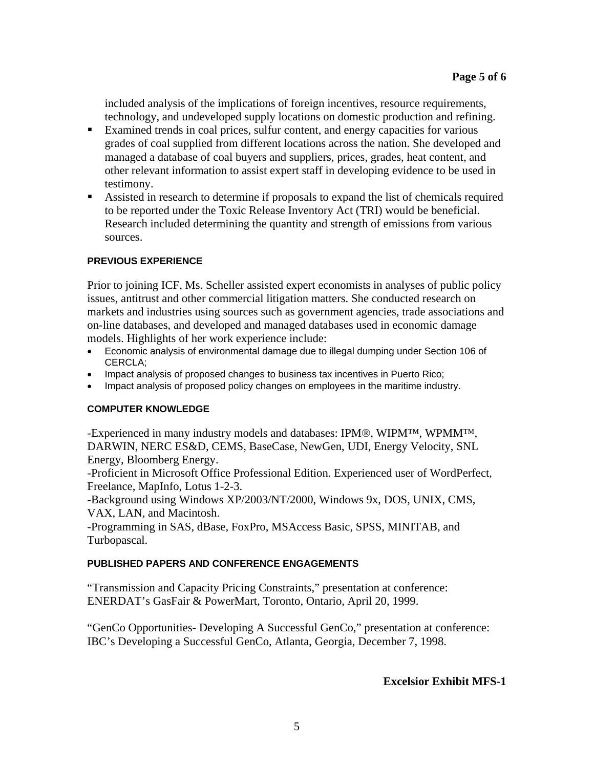included analysis of the implications of foreign incentives, resource requirements, technology, and undeveloped supply locations on domestic production and refining.

- Examined trends in coal prices, sulfur content, and energy capacities for various grades of coal supplied from different locations across the nation. She developed and managed a database of coal buyers and suppliers, prices, grades, heat content, and other relevant information to assist expert staff in developing evidence to be used in testimony.
- Assisted in research to determine if proposals to expand the list of chemicals required to be reported under the Toxic Release Inventory Act (TRI) would be beneficial. Research included determining the quantity and strength of emissions from various sources.

#### **PREVIOUS EXPERIENCE**

Prior to joining ICF, Ms. Scheller assisted expert economists in analyses of public policy issues, antitrust and other commercial litigation matters. She conducted research on markets and industries using sources such as government agencies, trade associations and on-line databases, and developed and managed databases used in economic damage models. Highlights of her work experience include:

- Economic analysis of environmental damage due to illegal dumping under Section 106 of CERCLA;
- Impact analysis of proposed changes to business tax incentives in Puerto Rico;
- Impact analysis of proposed policy changes on employees in the maritime industry.

### **COMPUTER KNOWLEDGE**

-Experienced in many industry models and databases: IPM®, WIPM™, WPMM™, DARWIN, NERC ES&D, CEMS, BaseCase, NewGen, UDI, Energy Velocity, SNL Energy, Bloomberg Energy.

-Proficient in Microsoft Office Professional Edition. Experienced user of WordPerfect, Freelance, MapInfo, Lotus 1-2-3.

-Background using Windows XP/2003/NT/2000, Windows 9x, DOS, UNIX, CMS, VAX, LAN, and Macintosh.

-Programming in SAS, dBase, FoxPro, MSAccess Basic, SPSS, MINITAB, and Turbopascal.

#### **PUBLISHED PAPERS AND CONFERENCE ENGAGEMENTS**

"Transmission and Capacity Pricing Constraints," presentation at conference: ENERDAT's GasFair & PowerMart, Toronto, Ontario, April 20, 1999.

"GenCo Opportunities- Developing A Successful GenCo," presentation at conference: IBC's Developing a Successful GenCo, Atlanta, Georgia, December 7, 1998.

#### **Excelsior Exhibit MFS-1**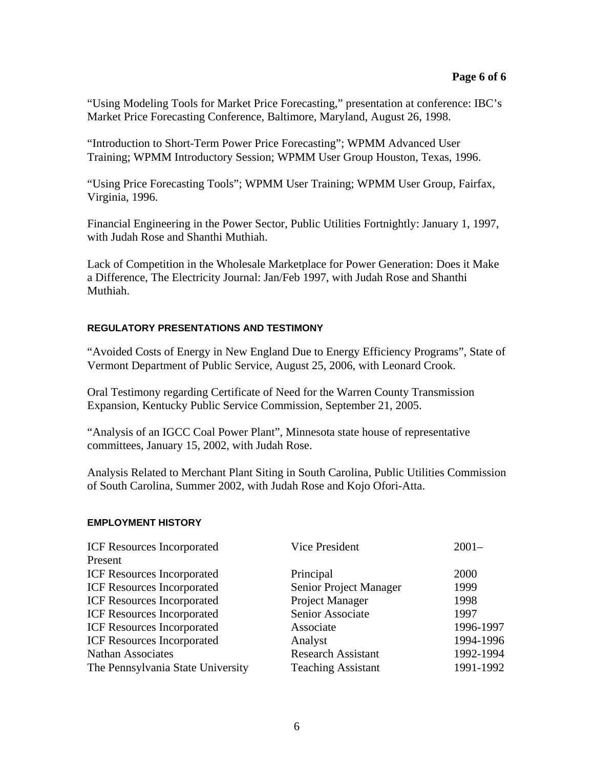"Using Modeling Tools for Market Price Forecasting," presentation at conference: IBC's Market Price Forecasting Conference, Baltimore, Maryland, August 26, 1998.

"Introduction to Short-Term Power Price Forecasting"; WPMM Advanced User Training; WPMM Introductory Session; WPMM User Group Houston, Texas, 1996.

"Using Price Forecasting Tools"; WPMM User Training; WPMM User Group, Fairfax, Virginia, 1996.

Financial Engineering in the Power Sector, Public Utilities Fortnightly: January 1, 1997, with Judah Rose and Shanthi Muthiah.

Lack of Competition in the Wholesale Marketplace for Power Generation: Does it Make a Difference, The Electricity Journal: Jan/Feb 1997, with Judah Rose and Shanthi Muthiah.

#### **REGULATORY PRESENTATIONS AND TESTIMONY**

"Avoided Costs of Energy in New England Due to Energy Efficiency Programs", State of Vermont Department of Public Service, August 25, 2006, with Leonard Crook.

Oral Testimony regarding Certificate of Need for the Warren County Transmission Expansion, Kentucky Public Service Commission, September 21, 2005.

"Analysis of an IGCC Coal Power Plant", Minnesota state house of representative committees, January 15, 2002, with Judah Rose.

Analysis Related to Merchant Plant Siting in South Carolina, Public Utilities Commission of South Carolina, Summer 2002, with Judah Rose and Kojo Ofori-Atta.

#### **EMPLOYMENT HISTORY**

| Vice President            | $2001 -$  |
|---------------------------|-----------|
|                           |           |
| Principal                 | 2000      |
| Senior Project Manager    | 1999      |
| Project Manager           | 1998      |
| Senior Associate          | 1997      |
| Associate                 | 1996-1997 |
| Analyst                   | 1994-1996 |
| <b>Research Assistant</b> | 1992-1994 |
| <b>Teaching Assistant</b> | 1991-1992 |
|                           |           |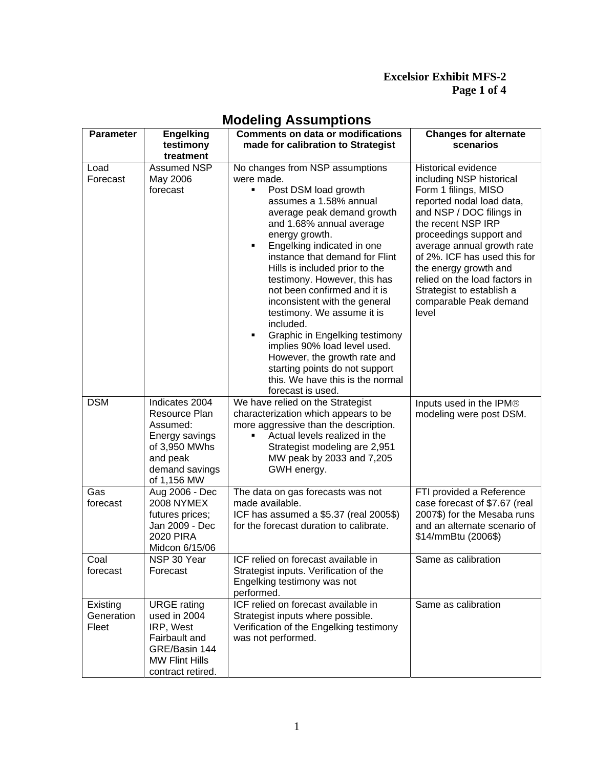### **Excelsior Exhibit MFS-2 Page 1 of 4**

| <b>Parameter</b>                | <b>Engelking</b><br>testimony<br>treatment                                                                                      | <b>Comments on data or modifications</b><br>made for calibration to Strategist                                                                                                                                                                                                                                                                                                                                                                                                                                                                                                                                                        | <b>Changes for alternate</b><br>scenarios                                                                                                                                                                                                                                                                                                                                        |
|---------------------------------|---------------------------------------------------------------------------------------------------------------------------------|---------------------------------------------------------------------------------------------------------------------------------------------------------------------------------------------------------------------------------------------------------------------------------------------------------------------------------------------------------------------------------------------------------------------------------------------------------------------------------------------------------------------------------------------------------------------------------------------------------------------------------------|----------------------------------------------------------------------------------------------------------------------------------------------------------------------------------------------------------------------------------------------------------------------------------------------------------------------------------------------------------------------------------|
| Load<br>Forecast                | <b>Assumed NSP</b><br>May 2006<br>forecast                                                                                      | No changes from NSP assumptions<br>were made.<br>Post DSM load growth<br>٠<br>assumes a 1.58% annual<br>average peak demand growth<br>and 1.68% annual average<br>energy growth.<br>Engelking indicated in one<br>٠<br>instance that demand for Flint<br>Hills is included prior to the<br>testimony. However, this has<br>not been confirmed and it is<br>inconsistent with the general<br>testimony. We assume it is<br>included.<br>Graphic in Engelking testimony<br>٠<br>implies 90% load level used.<br>However, the growth rate and<br>starting points do not support<br>this. We have this is the normal<br>forecast is used. | <b>Historical evidence</b><br>including NSP historical<br>Form 1 filings, MISO<br>reported nodal load data,<br>and NSP / DOC filings in<br>the recent NSP IRP<br>proceedings support and<br>average annual growth rate<br>of 2%. ICF has used this for<br>the energy growth and<br>relied on the load factors in<br>Strategist to establish a<br>comparable Peak demand<br>level |
| <b>DSM</b>                      | Indicates 2004<br>Resource Plan<br>Assumed:<br>Energy savings<br>of 3,950 MWhs<br>and peak<br>demand savings<br>of 1,156 MW     | We have relied on the Strategist<br>characterization which appears to be<br>more aggressive than the description.<br>Actual levels realized in the<br>Strategist modeling are 2,951<br>MW peak by 2033 and 7,205<br>GWH energy.                                                                                                                                                                                                                                                                                                                                                                                                       | Inputs used in the IPM®<br>modeling were post DSM.                                                                                                                                                                                                                                                                                                                               |
| Gas<br>forecast                 | Aug 2006 - Dec<br><b>2008 NYMEX</b><br>futures prices;<br>Jan 2009 - Dec<br><b>2020 PIRA</b><br>Midcon 6/15/06                  | The data on gas forecasts was not<br>made available.<br>ICF has assumed a \$5.37 (real 2005\$)<br>for the forecast duration to calibrate.                                                                                                                                                                                                                                                                                                                                                                                                                                                                                             | FTI provided a Reference<br>case forecast of \$7.67 (real<br>2007\$) for the Mesaba runs<br>and an alternate scenario of<br>\$14/mmBtu (2006\$)                                                                                                                                                                                                                                  |
| Coal<br>forecast                | NSP 30 Year<br>Forecast                                                                                                         | ICF relied on forecast available in<br>Strategist inputs. Verification of the<br>Engelking testimony was not<br>performed.                                                                                                                                                                                                                                                                                                                                                                                                                                                                                                            | Same as calibration                                                                                                                                                                                                                                                                                                                                                              |
| Existing<br>Generation<br>Fleet | <b>URGE</b> rating<br>used in 2004<br>IRP, West<br>Fairbault and<br>GRE/Basin 144<br><b>MW Flint Hills</b><br>contract retired. | ICF relied on forecast available in<br>Strategist inputs where possible.<br>Verification of the Engelking testimony<br>was not performed.                                                                                                                                                                                                                                                                                                                                                                                                                                                                                             | Same as calibration                                                                                                                                                                                                                                                                                                                                                              |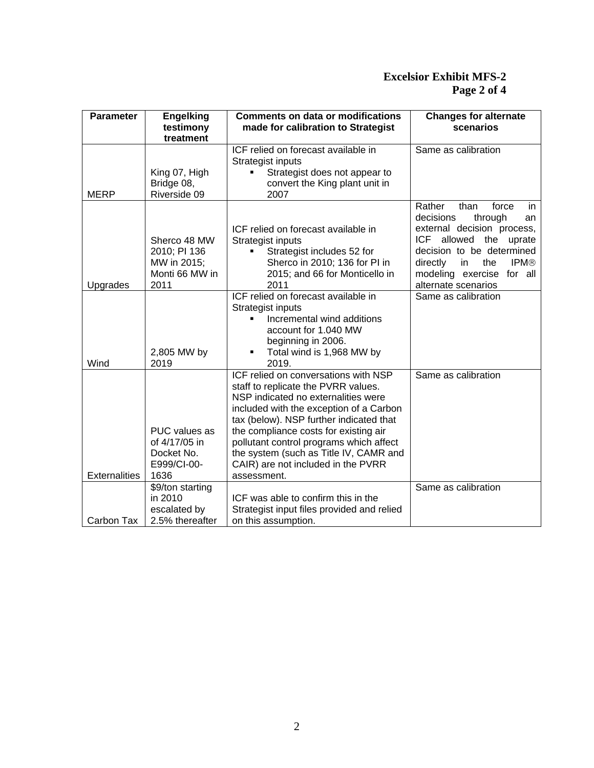### **Excelsior Exhibit MFS-2 Page 2 of 4**

| <b>Parameter</b>     | <b>Engelking</b><br>testimony<br>treatment                            | <b>Comments on data or modifications</b><br>made for calibration to Strategist                                                                                                                                                                                                                                                                                                              | <b>Changes for alternate</b><br>scenarios                                                                                                                                                                                                                           |
|----------------------|-----------------------------------------------------------------------|---------------------------------------------------------------------------------------------------------------------------------------------------------------------------------------------------------------------------------------------------------------------------------------------------------------------------------------------------------------------------------------------|---------------------------------------------------------------------------------------------------------------------------------------------------------------------------------------------------------------------------------------------------------------------|
| <b>MERP</b>          | King 07, High<br>Bridge 08,<br>Riverside 09                           | ICF relied on forecast available in<br>Strategist inputs<br>Strategist does not appear to<br>convert the King plant unit in<br>2007                                                                                                                                                                                                                                                         | Same as calibration                                                                                                                                                                                                                                                 |
| Upgrades             | Sherco 48 MW<br>2010; PI 136<br>MW in 2015;<br>Monti 66 MW in<br>2011 | ICF relied on forecast available in<br>Strategist inputs<br>Strategist includes 52 for<br>٠<br>Sherco in 2010; 136 for PI in<br>2015; and 66 for Monticello in<br>2011<br>ICF relied on forecast available in<br>Strategist inputs<br>Incremental wind additions<br>account for 1.040 MW                                                                                                    | Rather<br>than<br>force<br>in<br>decisions<br>through<br>an<br>external decision process,<br>ICF allowed the uprate<br>decision to be determined<br>in<br>the<br><b>IPM®</b><br>directly<br>modeling exercise for all<br>alternate scenarios<br>Same as calibration |
| Wind                 | 2,805 MW by<br>2019                                                   | beginning in 2006.<br>Total wind is 1,968 MW by<br>٠<br>2019.                                                                                                                                                                                                                                                                                                                               |                                                                                                                                                                                                                                                                     |
| <b>Externalities</b> | PUC values as<br>of 4/17/05 in<br>Docket No.<br>E999/CI-00-<br>1636   | ICF relied on conversations with NSP<br>staff to replicate the PVRR values.<br>NSP indicated no externalities were<br>included with the exception of a Carbon<br>tax (below). NSP further indicated that<br>the compliance costs for existing air<br>pollutant control programs which affect<br>the system (such as Title IV, CAMR and<br>CAIR) are not included in the PVRR<br>assessment. | Same as calibration                                                                                                                                                                                                                                                 |
| Carbon Tax           | \$9/ton starting<br>in 2010<br>escalated by<br>2.5% thereafter        | ICF was able to confirm this in the<br>Strategist input files provided and relied<br>on this assumption.                                                                                                                                                                                                                                                                                    | Same as calibration                                                                                                                                                                                                                                                 |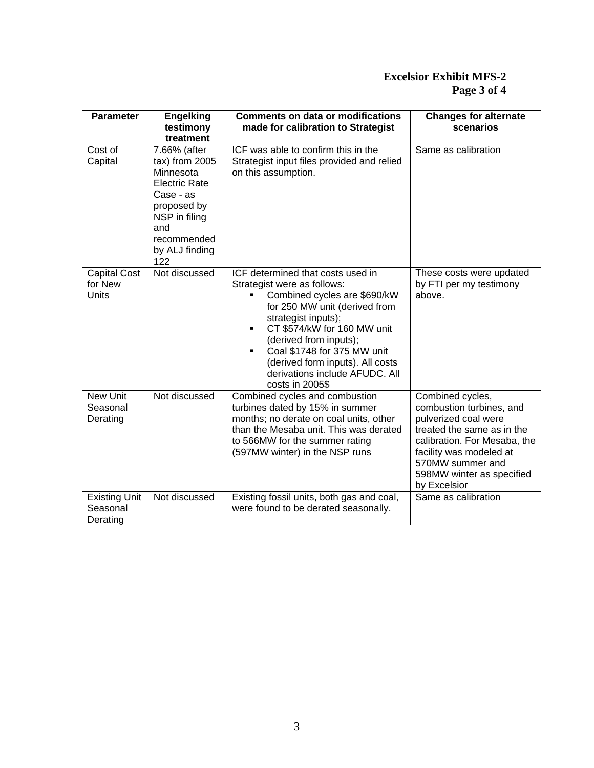### **Excelsior Exhibit MFS-2 Page 3 of 4**

| <b>Parameter</b>                               | <b>Engelking</b><br>testimony                                                                                                                                                  | <b>Comments on data or modifications</b><br>made for calibration to Strategist                                                                                                                                                                                                                                                            | <b>Changes for alternate</b><br>scenarios                                                                                                                                                                                      |
|------------------------------------------------|--------------------------------------------------------------------------------------------------------------------------------------------------------------------------------|-------------------------------------------------------------------------------------------------------------------------------------------------------------------------------------------------------------------------------------------------------------------------------------------------------------------------------------------|--------------------------------------------------------------------------------------------------------------------------------------------------------------------------------------------------------------------------------|
| Cost of<br>Capital                             | treatment<br>7.66% (after<br>$tax)$ from 2005<br>Minnesota<br><b>Electric Rate</b><br>Case - as<br>proposed by<br>NSP in filing<br>and<br>recommended<br>by ALJ finding<br>122 | ICF was able to confirm this in the<br>Strategist input files provided and relied<br>on this assumption.                                                                                                                                                                                                                                  | Same as calibration                                                                                                                                                                                                            |
| <b>Capital Cost</b><br>for New<br><b>Units</b> | Not discussed                                                                                                                                                                  | ICF determined that costs used in<br>Strategist were as follows:<br>Combined cycles are \$690/kW<br>for 250 MW unit (derived from<br>strategist inputs);<br>CT \$574/kW for 160 MW unit<br>(derived from inputs);<br>Coal \$1748 for 375 MW unit<br>(derived form inputs). All costs<br>derivations include AFUDC, All<br>costs in 2005\$ | These costs were updated<br>by FTI per my testimony<br>above.                                                                                                                                                                  |
| <b>New Unit</b><br>Seasonal<br>Derating        | Not discussed                                                                                                                                                                  | Combined cycles and combustion<br>turbines dated by 15% in summer<br>months; no derate on coal units, other<br>than the Mesaba unit. This was derated<br>to 566MW for the summer rating<br>(597MW winter) in the NSP runs                                                                                                                 | Combined cycles,<br>combustion turbines, and<br>pulverized coal were<br>treated the same as in the<br>calibration. For Mesaba, the<br>facility was modeled at<br>570MW summer and<br>598MW winter as specified<br>by Excelsior |
| <b>Existing Unit</b><br>Seasonal<br>Derating   | Not discussed                                                                                                                                                                  | Existing fossil units, both gas and coal,<br>were found to be derated seasonally.                                                                                                                                                                                                                                                         | Same as calibration                                                                                                                                                                                                            |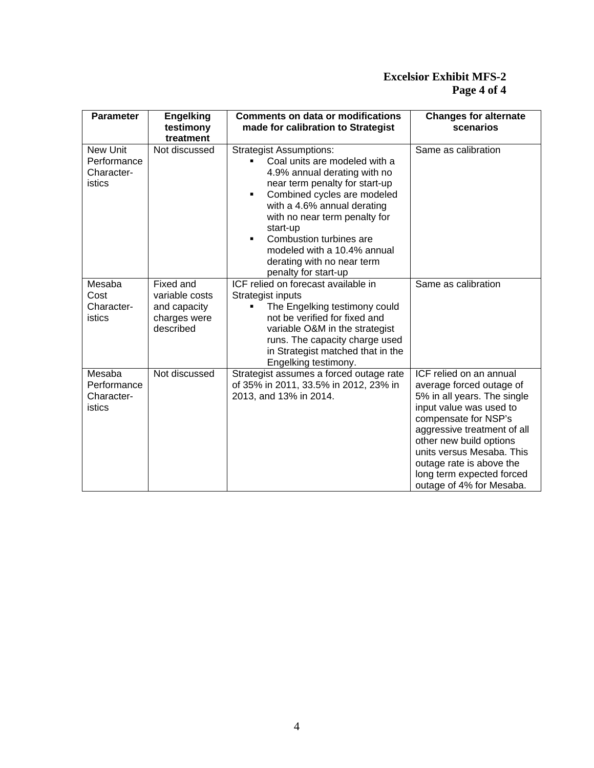### **Excelsior Exhibit MFS-2 Page 4 of 4**

| <b>Parameter</b>                                       | <b>Engelking</b><br>testimony<br>treatment                               | <b>Comments on data or modifications</b><br>made for calibration to Strategist                                                                                                                                                                                                                                                                                         | <b>Changes for alternate</b><br>scenarios                                                                                                                                                                                                                                                                         |
|--------------------------------------------------------|--------------------------------------------------------------------------|------------------------------------------------------------------------------------------------------------------------------------------------------------------------------------------------------------------------------------------------------------------------------------------------------------------------------------------------------------------------|-------------------------------------------------------------------------------------------------------------------------------------------------------------------------------------------------------------------------------------------------------------------------------------------------------------------|
| New Unit<br>Performance<br>Character-<br><b>istics</b> | Not discussed                                                            | <b>Strategist Assumptions:</b><br>Coal units are modeled with a<br>4.9% annual derating with no<br>near term penalty for start-up<br>Combined cycles are modeled<br>٠<br>with a 4.6% annual derating<br>with no near term penalty for<br>start-up<br>Combustion turbines are<br>٠<br>modeled with a 10.4% annual<br>derating with no near term<br>penalty for start-up | Same as calibration                                                                                                                                                                                                                                                                                               |
| Mesaba<br>Cost<br>Character-<br>istics                 | Fixed and<br>variable costs<br>and capacity<br>charges were<br>described | <b>ICF</b> relied on forecast available in<br>Strategist inputs<br>The Engelking testimony could<br>not be verified for fixed and<br>variable O&M in the strategist<br>runs. The capacity charge used<br>in Strategist matched that in the<br>Engelking testimony.                                                                                                     | Same as calibration                                                                                                                                                                                                                                                                                               |
| Mesaba<br>Performance<br>Character-<br>istics          | Not discussed                                                            | Strategist assumes a forced outage rate<br>of 35% in 2011, 33.5% in 2012, 23% in<br>2013, and 13% in 2014.                                                                                                                                                                                                                                                             | ICF relied on an annual<br>average forced outage of<br>5% in all years. The single<br>input value was used to<br>compensate for NSP's<br>aggressive treatment of all<br>other new build options<br>units versus Mesaba. This<br>outage rate is above the<br>long term expected forced<br>outage of 4% for Mesaba. |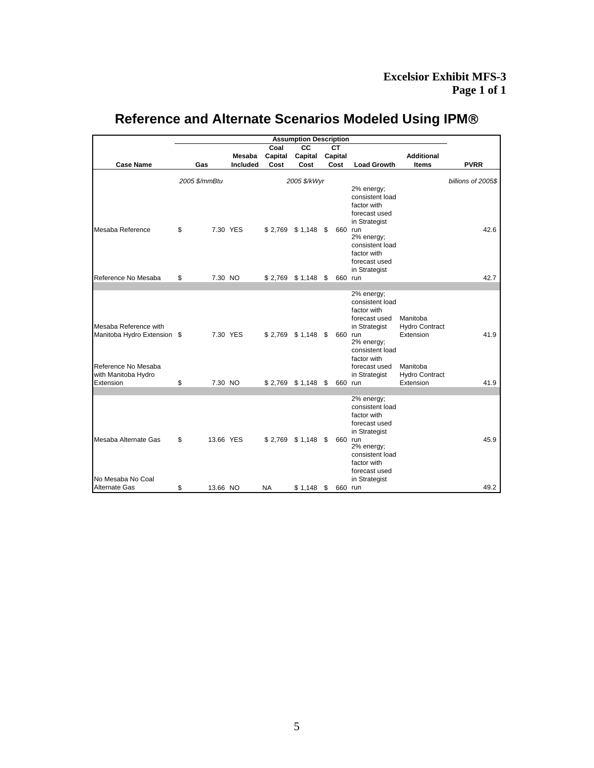# **Reference and Alternate Scenarios Modeled Using IPM**®

|                             | <b>Assumption Description</b> |          |           |           |                       |  |            |                               |                       |             |
|-----------------------------|-------------------------------|----------|-----------|-----------|-----------------------|--|------------|-------------------------------|-----------------------|-------------|
|                             |                               |          |           | Coal      | CC                    |  | <b>CT</b>  |                               |                       |             |
|                             |                               |          | Mesaba    | Capital   | Capital               |  | Capital    |                               | <b>Additional</b>     |             |
| <b>Case Name</b>            | Gas                           |          | Included  | Cost      | Cost                  |  | Cost       | <b>Load Growth</b>            | <b>Items</b>          | <b>PVRR</b> |
|                             |                               |          |           |           |                       |  |            |                               |                       |             |
|                             | 2005 \$/kWyr<br>2005 \$/mmBtu |          |           |           |                       |  |            | billions of 2005\$            |                       |             |
|                             |                               |          |           |           |                       |  | 2% energy; |                               |                       |             |
|                             |                               |          |           |           |                       |  |            | consistent load               |                       |             |
|                             |                               |          |           |           |                       |  |            | factor with                   |                       |             |
|                             |                               |          |           |           |                       |  |            | forecast used                 |                       |             |
|                             |                               |          |           |           |                       |  |            | in Strategist                 |                       |             |
| Mesaba Reference            | \$                            |          | 7.30 YES  |           | $$2,769$ $$1,148$ $$$ |  | 660 run    |                               |                       | 42.6        |
|                             |                               |          |           |           |                       |  |            | 2% energy;<br>consistent load |                       |             |
|                             |                               |          |           |           |                       |  |            | factor with                   |                       |             |
|                             |                               |          |           |           |                       |  |            | forecast used                 |                       |             |
|                             |                               |          |           |           |                       |  |            | in Strategist                 |                       |             |
| Reference No Mesaba         | \$                            | 7.30 NO  |           |           | $$2,769$ $$1,148$ $$$ |  | 660 run    |                               |                       | 42.7        |
|                             |                               |          |           |           |                       |  |            |                               |                       |             |
|                             |                               |          |           |           |                       |  |            | 2% energy;                    |                       |             |
|                             |                               |          |           |           |                       |  |            | consistent load               |                       |             |
|                             |                               |          |           |           |                       |  |            | factor with                   |                       |             |
|                             |                               |          |           |           |                       |  |            | forecast used                 | Manitoba              |             |
| Mesaba Reference with       |                               |          |           |           |                       |  |            | in Strategist                 | <b>Hydro Contract</b> |             |
| Manitoba Hydro Extension \$ |                               |          | 7.30 YES  |           | $$2,769$ $$1,148$ $$$ |  | 660 run    |                               | Extension             | 41.9        |
|                             |                               |          |           |           |                       |  |            | 2% energy;<br>consistent load |                       |             |
|                             |                               |          |           |           |                       |  |            | factor with                   |                       |             |
| Reference No Mesaba         |                               |          |           |           |                       |  |            | forecast used                 | Manitoba              |             |
| with Manitoba Hydro         |                               |          |           |           |                       |  |            | in Strategist                 | <b>Hydro Contract</b> |             |
| Extension                   | \$                            | 7.30 NO  |           |           | $$2,769$ $$1,148$ $$$ |  | 660 run    |                               | Extension             | 41.9        |
|                             |                               |          |           |           |                       |  |            |                               |                       |             |
|                             |                               |          |           |           |                       |  |            | 2% energy;                    |                       |             |
|                             |                               |          |           |           |                       |  |            | consistent load               |                       |             |
|                             |                               |          |           |           |                       |  |            | factor with                   |                       |             |
|                             |                               |          |           |           |                       |  |            | forecast used                 |                       |             |
|                             |                               |          |           |           |                       |  |            | in Strategist                 |                       |             |
| Mesaba Alternate Gas        | \$                            |          | 13.66 YES |           | $$2,769$ $$1,148$ $$$ |  | 660 run    | 2% energy;                    |                       | 45.9        |
|                             |                               |          |           |           |                       |  |            | consistent load               |                       |             |
|                             |                               |          |           |           |                       |  |            | factor with                   |                       |             |
|                             |                               |          |           |           |                       |  |            | forecast used                 |                       |             |
| No Mesaba No Coal           |                               |          |           |           |                       |  |            | in Strategist                 |                       |             |
| Alternate Gas               | \$                            | 13.66 NO |           | <b>NA</b> | $$1,148$ \$           |  | 660 run    |                               |                       | 49.2        |